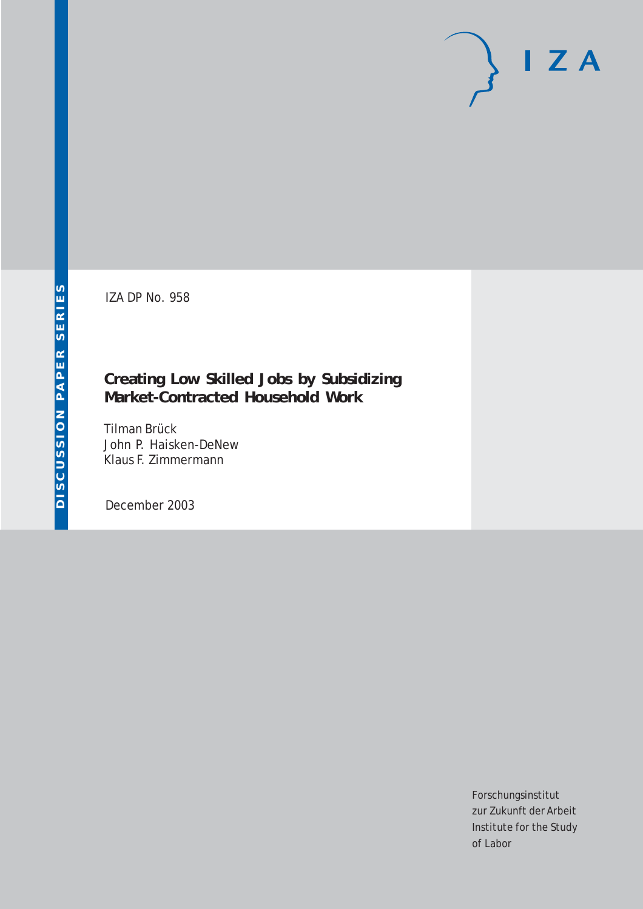IZA DP No. 958

## **Creating Low Skilled Jobs by Subsidizing Market-Contracted Household Work**

Tilman Brück John P. Haisken-DeNew Klaus F. Zimmermann

December 2003

Forschungsinstitut zur Zukunft der Arbeit Institute for the Study of Labor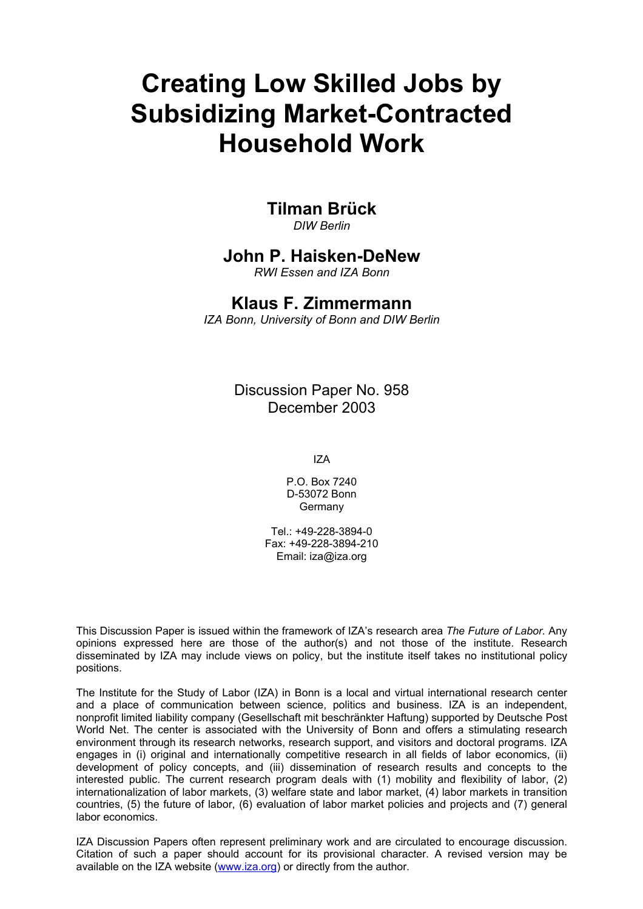# **Creating Low Skilled Jobs by Subsidizing Market-Contracted Household Work**

**Tilman Brück** 

*DIW Berlin* 

## **John P. Haisken-DeNew**

*RWI Essen and IZA Bonn* 

## **Klaus F. Zimmermann**

*IZA Bonn, University of Bonn and DIW Berlin* 

Discussion Paper No. 958 December 2003

IZA

P.O. Box 7240 D-53072 Bonn **Germany** 

 $Tel + 49-228-3894-0$ Fax: +49-228-3894-210 Email: [iza@iza.org](mailto:iza@iza.org)

This Discussion Paper is issued within the framework of IZA's research area *The Future of Labor.* Any opinions expressed here are those of the author(s) and not those of the institute. Research disseminated by IZA may include views on policy, but the institute itself takes no institutional policy positions.

The Institute for the Study of Labor (IZA) in Bonn is a local and virtual international research center and a place of communication between science, politics and business. IZA is an independent, nonprofit limited liability company (Gesellschaft mit beschränkter Haftung) supported by Deutsche Post World Net. The center is associated with the University of Bonn and offers a stimulating research environment through its research networks, research support, and visitors and doctoral programs. IZA engages in (i) original and internationally competitive research in all fields of labor economics, (ii) development of policy concepts, and (iii) dissemination of research results and concepts to the interested public. The current research program deals with (1) mobility and flexibility of labor, (2) internationalization of labor markets, (3) welfare state and labor market, (4) labor markets in transition countries, (5) the future of labor, (6) evaluation of labor market policies and projects and (7) general labor economics.

IZA Discussion Papers often represent preliminary work and are circulated to encourage discussion. Citation of such a paper should account for its provisional character. A revised version may be available on the IZA website ([www.iza.org](http://www.iza.org/)) or directly from the author.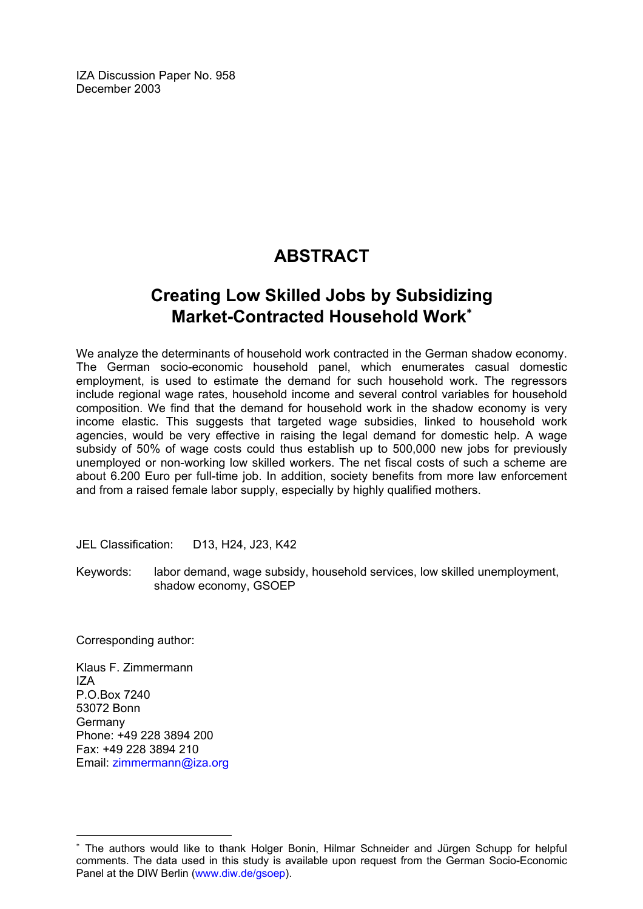IZA Discussion Paper No. 958 December 2003

## **ABSTRACT**

## **Creating Low Skilled Jobs by Subsidizing Market-Contracted Household Work**[∗](#page-2-0)

We analyze the determinants of household work contracted in the German shadow economy. The German socio-economic household panel, which enumerates casual domestic employment, is used to estimate the demand for such household work. The regressors include regional wage rates, household income and several control variables for household composition. We find that the demand for household work in the shadow economy is very income elastic. This suggests that targeted wage subsidies, linked to household work agencies, would be very effective in raising the legal demand for domestic help. A wage subsidy of 50% of wage costs could thus establish up to 500,000 new jobs for previously unemployed or non-working low skilled workers. The net fiscal costs of such a scheme are about 6.200 Euro per full-time job. In addition, society benefits from more law enforcement and from a raised female labor supply, especially by highly qualified mothers.

JEL Classification: D13, H24, J23, K42

Keywords: labor demand, wage subsidy, household services, low skilled unemployment, shadow economy, GSOEP

Corresponding author:

Klaus F. Zimmermann IZA P.O.Box 7240 53072 Bonn Germany Phone: +49 228 3894 200 Fax: +49 228 3894 210 Email: [zimmermann@iza.org](mailto:zimmermann@iza.org)

 $\overline{a}$ 

<span id="page-2-0"></span>The authors would like to thank Holger Bonin, Hilmar Schneider and Jürgen Schupp for helpful comments. The data used in this study is available upon request from the German Socio-Economic Panel at the DIW Berlin ([www.diw.de/gsoep](http://www.diw.de/gsoep)).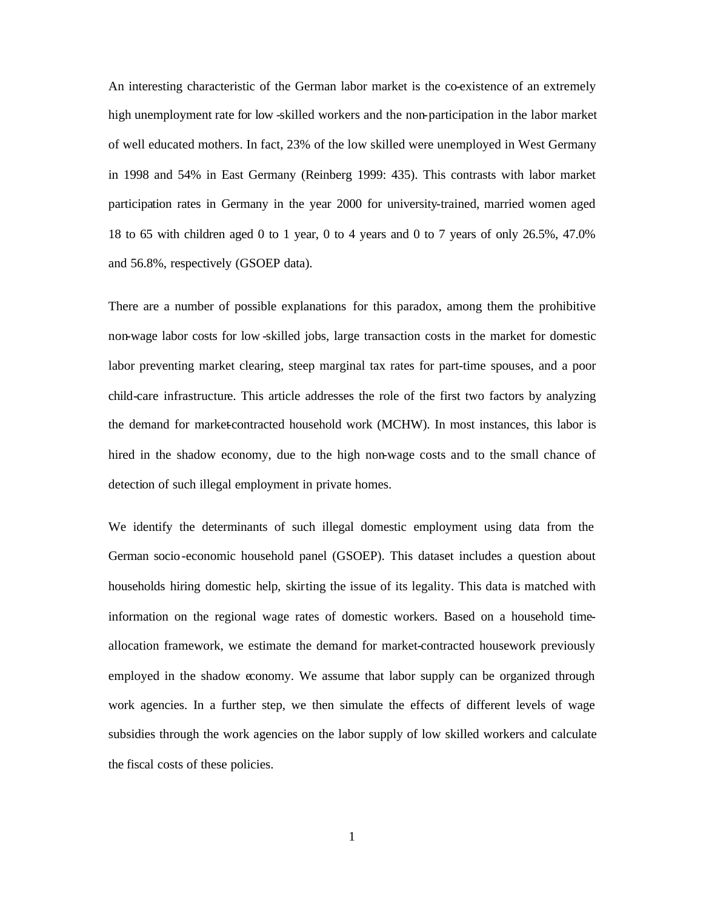An interesting characteristic of the German labor market is the co-existence of an extremely high unemployment rate for low -skilled workers and the non-participation in the labor market of well educated mothers. In fact, 23% of the low skilled were unemployed in West Germany in 1998 and 54% in East Germany (Reinberg 1999: 435). This contrasts with labor market participation rates in Germany in the year 2000 for university-trained, married women aged 18 to 65 with children aged 0 to 1 year, 0 to 4 years and 0 to 7 years of only 26.5%, 47.0% and 56.8%, respectively (GSOEP data).

There are a number of possible explanations for this paradox, among them the prohibitive non-wage labor costs for low -skilled jobs, large transaction costs in the market for domestic labor preventing market clearing, steep marginal tax rates for part-time spouses, and a poor child-care infrastructure. This article addresses the role of the first two factors by analyzing the demand for market-contracted household work (MCHW). In most instances, this labor is hired in the shadow economy, due to the high non-wage costs and to the small chance of detection of such illegal employment in private homes.

We identify the determinants of such illegal domestic employment using data from the German socio-economic household panel (GSOEP). This dataset includes a question about households hiring domestic help, skirting the issue of its legality. This data is matched with information on the regional wage rates of domestic workers. Based on a household timeallocation framework, we estimate the demand for market-contracted housework previously employed in the shadow economy. We assume that labor supply can be organized through work agencies. In a further step, we then simulate the effects of different levels of wage subsidies through the work agencies on the labor supply of low skilled workers and calculate the fiscal costs of these policies.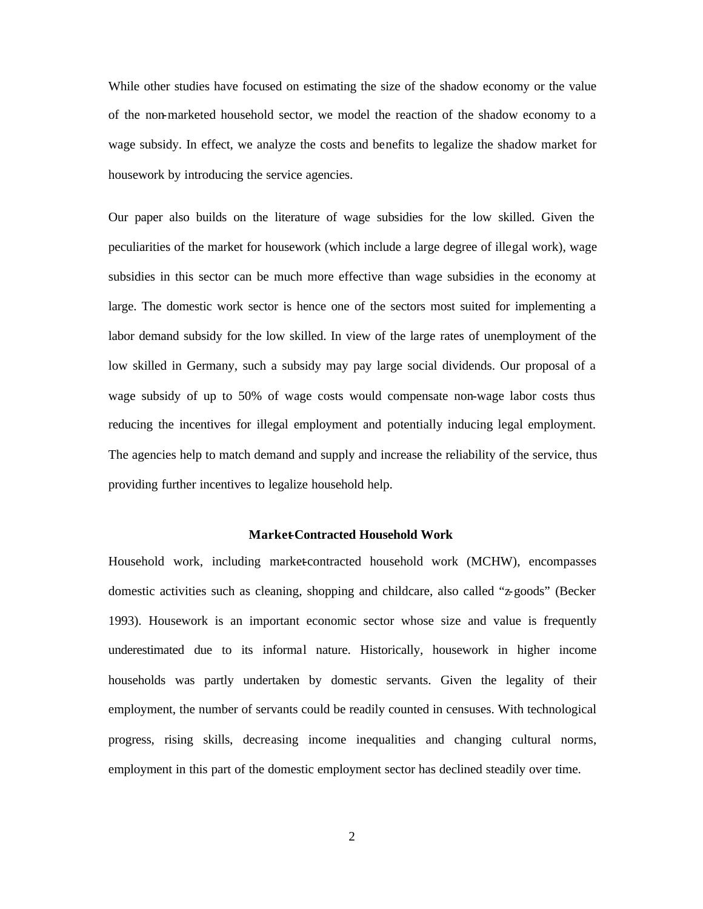While other studies have focused on estimating the size of the shadow economy or the value of the non-marketed household sector, we model the reaction of the shadow economy to a wage subsidy. In effect, we analyze the costs and benefits to legalize the shadow market for housework by introducing the service agencies.

Our paper also builds on the literature of wage subsidies for the low skilled. Given the peculiarities of the market for housework (which include a large degree of illegal work), wage subsidies in this sector can be much more effective than wage subsidies in the economy at large. The domestic work sector is hence one of the sectors most suited for implementing a labor demand subsidy for the low skilled. In view of the large rates of unemployment of the low skilled in Germany, such a subsidy may pay large social dividends. Our proposal of a wage subsidy of up to 50% of wage costs would compensate non-wage labor costs thus reducing the incentives for illegal employment and potentially inducing legal employment. The agencies help to match demand and supply and increase the reliability of the service, thus providing further incentives to legalize household help.

#### **Market-Contracted Household Work**

Household work, including market-contracted household work (MCHW), encompasses domestic activities such as cleaning, shopping and childcare, also called "z-goods" (Becker 1993). Housework is an important economic sector whose size and value is frequently underestimated due to its informal nature. Historically, housework in higher income households was partly undertaken by domestic servants. Given the legality of their employment, the number of servants could be readily counted in censuses. With technological progress, rising skills, decreasing income inequalities and changing cultural norms, employment in this part of the domestic employment sector has declined steadily over time.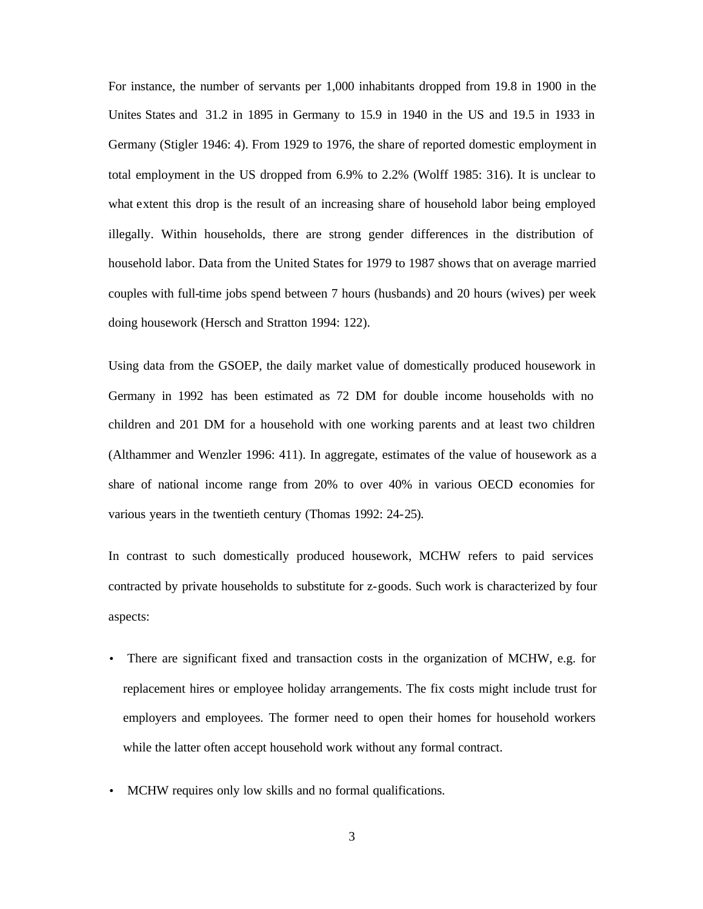For instance, the number of servants per 1,000 inhabitants dropped from 19.8 in 1900 in the Unites States and 31.2 in 1895 in Germany to 15.9 in 1940 in the US and 19.5 in 1933 in Germany (Stigler 1946: 4). From 1929 to 1976, the share of reported domestic employment in total employment in the US dropped from 6.9% to 2.2% (Wolff 1985: 316). It is unclear to what extent this drop is the result of an increasing share of household labor being employed illegally. Within households, there are strong gender differences in the distribution of household labor. Data from the United States for 1979 to 1987 shows that on average married couples with full-time jobs spend between 7 hours (husbands) and 20 hours (wives) per week doing housework (Hersch and Stratton 1994: 122).

Using data from the GSOEP, the daily market value of domestically produced housework in Germany in 1992 has been estimated as 72 DM for double income households with no children and 201 DM for a household with one working parents and at least two children (Althammer and Wenzler 1996: 411). In aggregate, estimates of the value of housework as a share of national income range from 20% to over 40% in various OECD economies for various years in the twentieth century (Thomas 1992: 24-25).

In contrast to such domestically produced housework, MCHW refers to paid services contracted by private households to substitute for z-goods. Such work is characterized by four aspects:

- There are significant fixed and transaction costs in the organization of MCHW, e.g. for replacement hires or employee holiday arrangements. The fix costs might include trust for employers and employees. The former need to open their homes for household workers while the latter often accept household work without any formal contract.
- MCHW requires only low skills and no formal qualifications.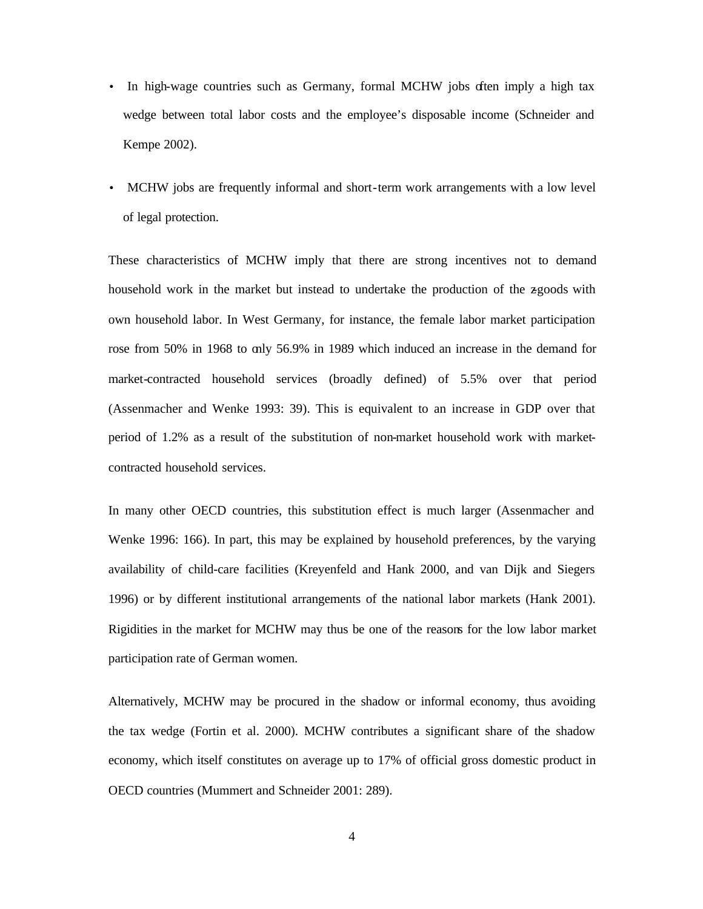- In high-wage countries such as Germany, formal MCHW jobs often imply a high tax wedge between total labor costs and the employee's disposable income (Schneider and Kempe 2002).
- MCHW jobs are frequently informal and short-term work arrangements with a low level of legal protection.

These characteristics of MCHW imply that there are strong incentives not to demand household work in the market but instead to undertake the production of the z-goods with own household labor. In West Germany, for instance, the female labor market participation rose from 50% in 1968 to only 56.9% in 1989 which induced an increase in the demand for market-contracted household services (broadly defined) of 5.5% over that period (Assenmacher and Wenke 1993: 39). This is equivalent to an increase in GDP over that period of 1.2% as a result of the substitution of non-market household work with marketcontracted household services.

In many other OECD countries, this substitution effect is much larger (Assenmacher and Wenke 1996: 166). In part, this may be explained by household preferences, by the varying availability of child-care facilities (Kreyenfeld and Hank 2000, and van Dijk and Siegers 1996) or by different institutional arrangements of the national labor markets (Hank 2001). Rigidities in the market for MCHW may thus be one of the reasons for the low labor market participation rate of German women.

Alternatively, MCHW may be procured in the shadow or informal economy, thus avoiding the tax wedge (Fortin et al. 2000). MCHW contributes a significant share of the shadow economy, which itself constitutes on average up to 17% of official gross domestic product in OECD countries (Mummert and Schneider 2001: 289).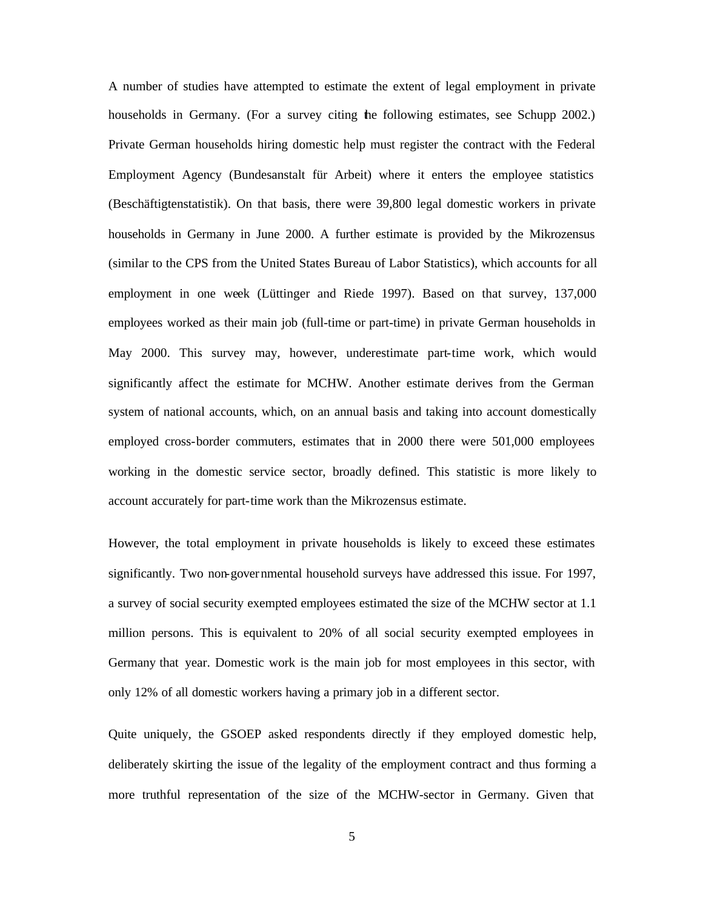A number of studies have attempted to estimate the extent of legal employment in private households in Germany. (For a survey citing the following estimates, see Schupp 2002.) Private German households hiring domestic help must register the contract with the Federal Employment Agency (Bundesanstalt für Arbeit) where it enters the employee statistics (Beschäftigtenstatistik). On that basis, there were 39,800 legal domestic workers in private households in Germany in June 2000. A further estimate is provided by the Mikrozensus (similar to the CPS from the United States Bureau of Labor Statistics), which accounts for all employment in one week (Lüttinger and Riede 1997). Based on that survey, 137,000 employees worked as their main job (full-time or part-time) in private German households in May 2000. This survey may, however, underestimate part-time work, which would significantly affect the estimate for MCHW. Another estimate derives from the German system of national accounts, which, on an annual basis and taking into account domestically employed cross-border commuters, estimates that in 2000 there were 501,000 employees working in the domestic service sector, broadly defined. This statistic is more likely to account accurately for part-time work than the Mikrozensus estimate.

However, the total employment in private households is likely to exceed these estimates significantly. Two non-governmental household surveys have addressed this issue. For 1997, a survey of social security exempted employees estimated the size of the MCHW sector at 1.1 million persons. This is equivalent to 20% of all social security exempted employees in Germany that year. Domestic work is the main job for most employees in this sector, with only 12% of all domestic workers having a primary job in a different sector.

Quite uniquely, the GSOEP asked respondents directly if they employed domestic help, deliberately skirting the issue of the legality of the employment contract and thus forming a more truthful representation of the size of the MCHW-sector in Germany. Given that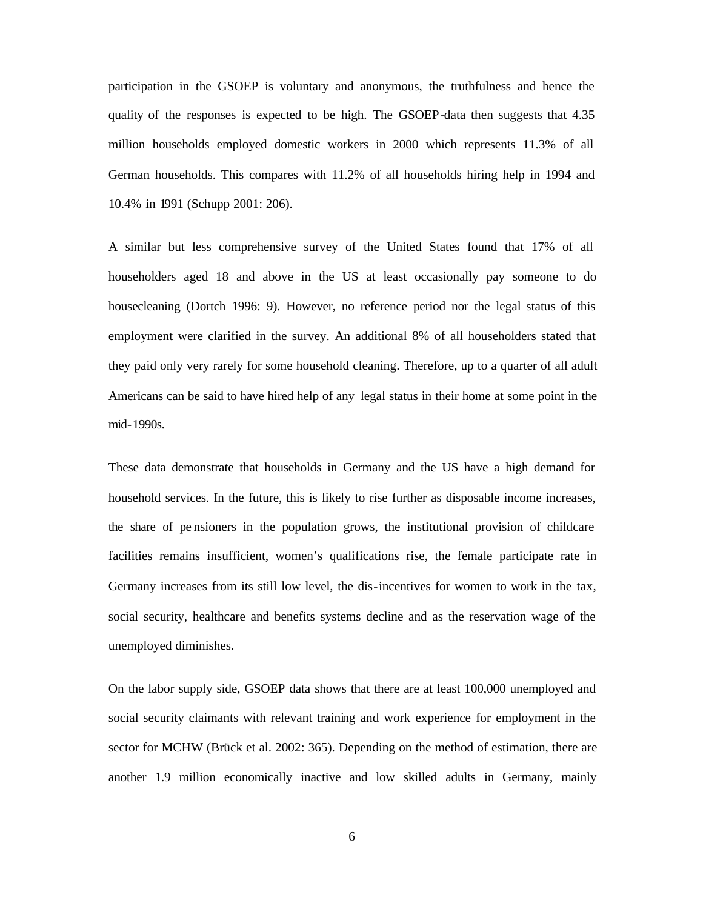participation in the GSOEP is voluntary and anonymous, the truthfulness and hence the quality of the responses is expected to be high. The GSOEP-data then suggests that 4.35 million households employed domestic workers in 2000 which represents 11.3% of all German households. This compares with 11.2% of all households hiring help in 1994 and 10.4% in 1991 (Schupp 2001: 206).

A similar but less comprehensive survey of the United States found that 17% of all householders aged 18 and above in the US at least occasionally pay someone to do housecleaning (Dortch 1996: 9). However, no reference period nor the legal status of this employment were clarified in the survey. An additional 8% of all householders stated that they paid only very rarely for some household cleaning. Therefore, up to a quarter of all adult Americans can be said to have hired help of any legal status in their home at some point in the mid-1990s.

These data demonstrate that households in Germany and the US have a high demand for household services. In the future, this is likely to rise further as disposable income increases, the share of pe nsioners in the population grows, the institutional provision of childcare facilities remains insufficient, women's qualifications rise, the female participate rate in Germany increases from its still low level, the dis-incentives for women to work in the tax, social security, healthcare and benefits systems decline and as the reservation wage of the unemployed diminishes.

On the labor supply side, GSOEP data shows that there are at least 100,000 unemployed and social security claimants with relevant training and work experience for employment in the sector for MCHW (Brück et al. 2002: 365). Depending on the method of estimation, there are another 1.9 million economically inactive and low skilled adults in Germany, mainly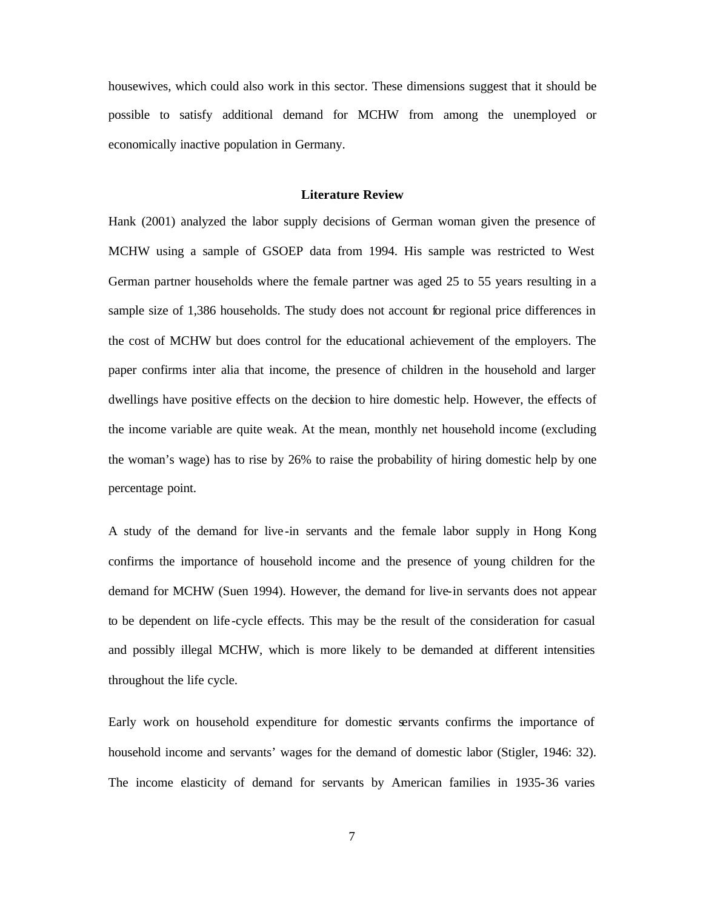housewives, which could also work in this sector. These dimensions suggest that it should be possible to satisfy additional demand for MCHW from among the unemployed or economically inactive population in Germany.

#### **Literature Review**

Hank (2001) analyzed the labor supply decisions of German woman given the presence of MCHW using a sample of GSOEP data from 1994. His sample was restricted to West German partner households where the female partner was aged 25 to 55 years resulting in a sample size of 1,386 households. The study does not account for regional price differences in the cost of MCHW but does control for the educational achievement of the employers. The paper confirms inter alia that income, the presence of children in the household and larger dwellings have positive effects on the decision to hire domestic help. However, the effects of the income variable are quite weak. At the mean, monthly net household income (excluding the woman's wage) has to rise by 26% to raise the probability of hiring domestic help by one percentage point.

A study of the demand for live -in servants and the female labor supply in Hong Kong confirms the importance of household income and the presence of young children for the demand for MCHW (Suen 1994). However, the demand for live-in servants does not appear to be dependent on life -cycle effects. This may be the result of the consideration for casual and possibly illegal MCHW, which is more likely to be demanded at different intensities throughout the life cycle.

Early work on household expenditure for domestic servants confirms the importance of household income and servants' wages for the demand of domestic labor (Stigler, 1946: 32). The income elasticity of demand for servants by American families in 1935-36 varies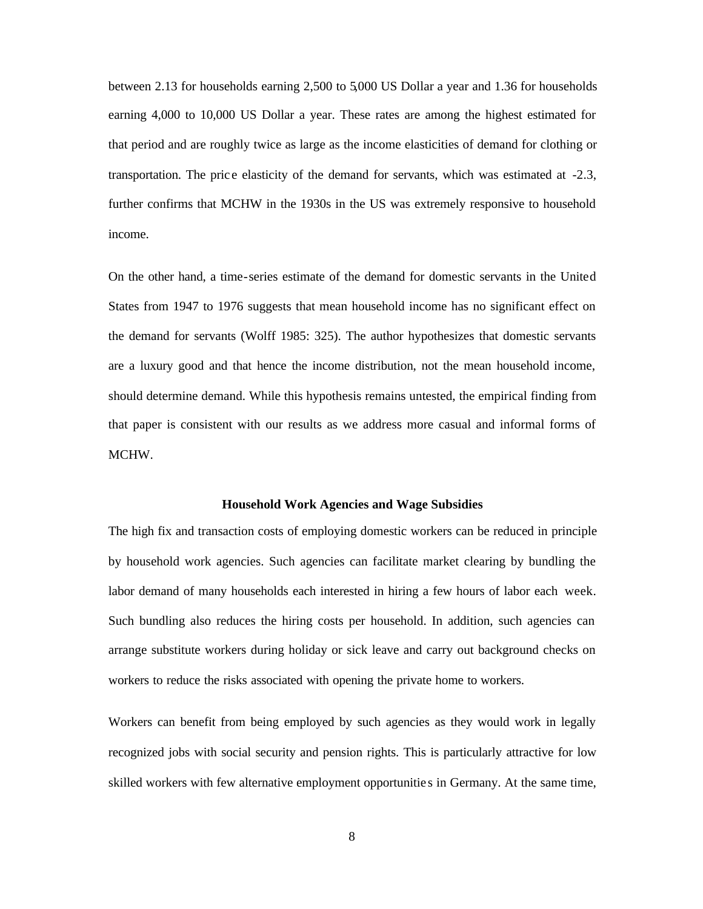between 2.13 for households earning 2,500 to 5,000 US Dollar a year and 1.36 for households earning 4,000 to 10,000 US Dollar a year. These rates are among the highest estimated for that period and are roughly twice as large as the income elasticities of demand for clothing or transportation. The pric e elasticity of the demand for servants, which was estimated at -2.3, further confirms that MCHW in the 1930s in the US was extremely responsive to household income.

On the other hand, a time-series estimate of the demand for domestic servants in the United States from 1947 to 1976 suggests that mean household income has no significant effect on the demand for servants (Wolff 1985: 325). The author hypothesizes that domestic servants are a luxury good and that hence the income distribution, not the mean household income, should determine demand. While this hypothesis remains untested, the empirical finding from that paper is consistent with our results as we address more casual and informal forms of MCHW.

#### **Household Work Agencies and Wage Subsidies**

The high fix and transaction costs of employing domestic workers can be reduced in principle by household work agencies. Such agencies can facilitate market clearing by bundling the labor demand of many households each interested in hiring a few hours of labor each week. Such bundling also reduces the hiring costs per household. In addition, such agencies can arrange substitute workers during holiday or sick leave and carry out background checks on workers to reduce the risks associated with opening the private home to workers.

Workers can benefit from being employed by such agencies as they would work in legally recognized jobs with social security and pension rights. This is particularly attractive for low skilled workers with few alternative employment opportunitie s in Germany. At the same time,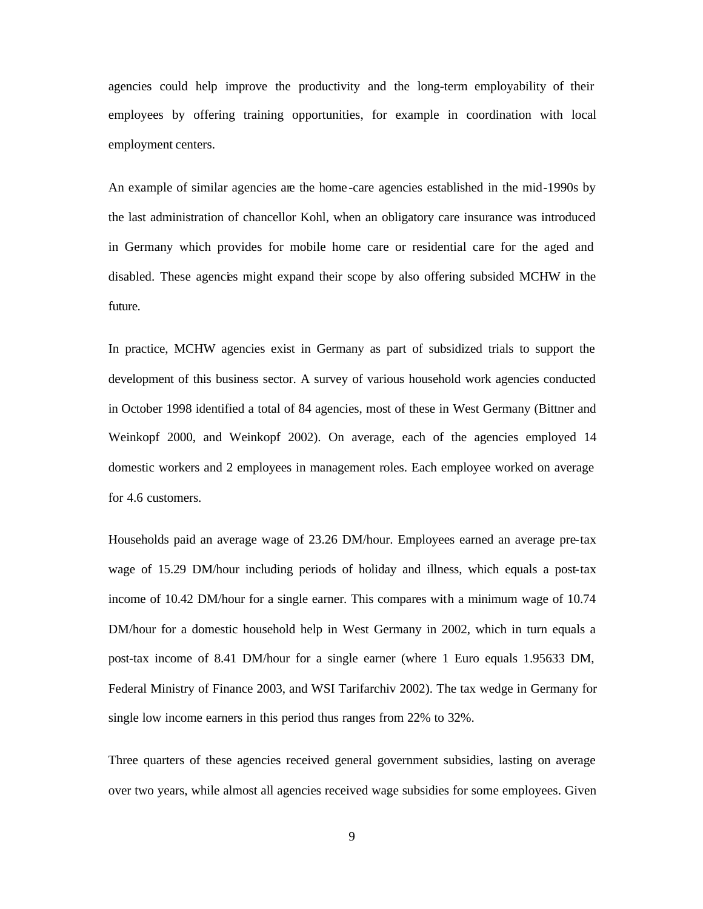agencies could help improve the productivity and the long-term employability of their employees by offering training opportunities, for example in coordination with local employment centers.

An example of similar agencies are the home -care agencies established in the mid-1990s by the last administration of chancellor Kohl, when an obligatory care insurance was introduced in Germany which provides for mobile home care or residential care for the aged and disabled. These agencies might expand their scope by also offering subsided MCHW in the future.

In practice, MCHW agencies exist in Germany as part of subsidized trials to support the development of this business sector. A survey of various household work agencies conducted in October 1998 identified a total of 84 agencies, most of these in West Germany (Bittner and Weinkopf 2000, and Weinkopf 2002). On average, each of the agencies employed 14 domestic workers and 2 employees in management roles. Each employee worked on average for 4.6 customers.

Households paid an average wage of 23.26 DM/hour. Employees earned an average pre-tax wage of 15.29 DM/hour including periods of holiday and illness, which equals a post-tax income of 10.42 DM/hour for a single earner. This compares with a minimum wage of 10.74 DM/hour for a domestic household help in West Germany in 2002, which in turn equals a post-tax income of 8.41 DM/hour for a single earner (where 1 Euro equals 1.95633 DM, Federal Ministry of Finance 2003, and WSI Tarifarchiv 2002). The tax wedge in Germany for single low income earners in this period thus ranges from 22% to 32%.

Three quarters of these agencies received general government subsidies, lasting on average over two years, while almost all agencies received wage subsidies for some employees. Given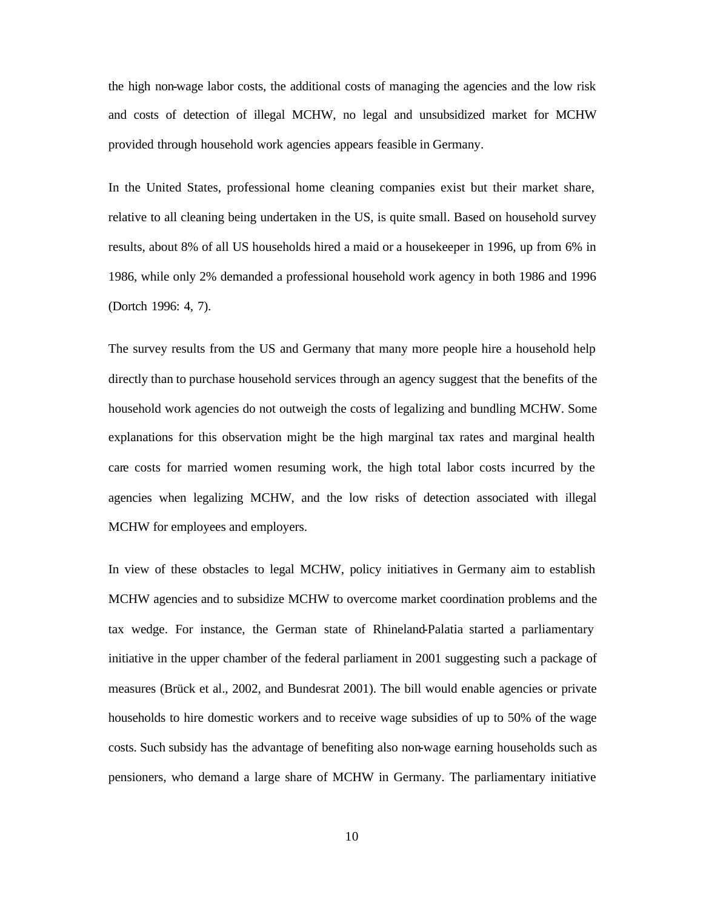the high non-wage labor costs, the additional costs of managing the agencies and the low risk and costs of detection of illegal MCHW, no legal and unsubsidized market for MCHW provided through household work agencies appears feasible in Germany.

In the United States, professional home cleaning companies exist but their market share, relative to all cleaning being undertaken in the US, is quite small. Based on household survey results, about 8% of all US households hired a maid or a housekeeper in 1996, up from 6% in 1986, while only 2% demanded a professional household work agency in both 1986 and 1996 (Dortch 1996: 4, 7).

The survey results from the US and Germany that many more people hire a household help directly than to purchase household services through an agency suggest that the benefits of the household work agencies do not outweigh the costs of legalizing and bundling MCHW. Some explanations for this observation might be the high marginal tax rates and marginal health care costs for married women resuming work, the high total labor costs incurred by the agencies when legalizing MCHW, and the low risks of detection associated with illegal MCHW for employees and employers.

In view of these obstacles to legal MCHW, policy initiatives in Germany aim to establish MCHW agencies and to subsidize MCHW to overcome market coordination problems and the tax wedge. For instance, the German state of Rhineland-Palatia started a parliamentary initiative in the upper chamber of the federal parliament in 2001 suggesting such a package of measures (Brück et al., 2002, and Bundesrat 2001). The bill would enable agencies or private households to hire domestic workers and to receive wage subsidies of up to 50% of the wage costs. Such subsidy has the advantage of benefiting also non-wage earning households such as pensioners, who demand a large share of MCHW in Germany. The parliamentary initiative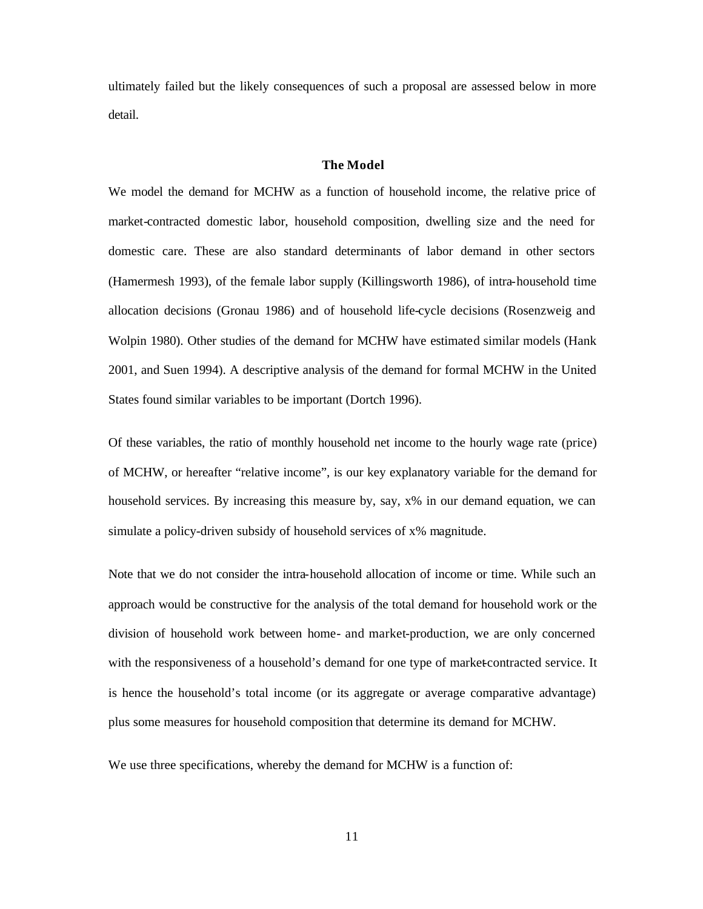ultimately failed but the likely consequences of such a proposal are assessed below in more detail.

#### **The Model**

We model the demand for MCHW as a function of household income, the relative price of market-contracted domestic labor, household composition, dwelling size and the need for domestic care. These are also standard determinants of labor demand in other sectors (Hamermesh 1993), of the female labor supply (Killingsworth 1986), of intra-household time allocation decisions (Gronau 1986) and of household life-cycle decisions (Rosenzweig and Wolpin 1980). Other studies of the demand for MCHW have estimated similar models (Hank 2001, and Suen 1994). A descriptive analysis of the demand for formal MCHW in the United States found similar variables to be important (Dortch 1996).

Of these variables, the ratio of monthly household net income to the hourly wage rate (price) of MCHW, or hereafter "relative income", is our key explanatory variable for the demand for household services. By increasing this measure by, say, x% in our demand equation, we can simulate a policy-driven subsidy of household services of x% magnitude.

Note that we do not consider the intra-household allocation of income or time. While such an approach would be constructive for the analysis of the total demand for household work or the division of household work between home- and market-production, we are only concerned with the responsiveness of a household's demand for one type of market-contracted service. It is hence the household's total income (or its aggregate or average comparative advantage) plus some measures for household composition that determine its demand for MCHW.

We use three specifications, whereby the demand for MCHW is a function of: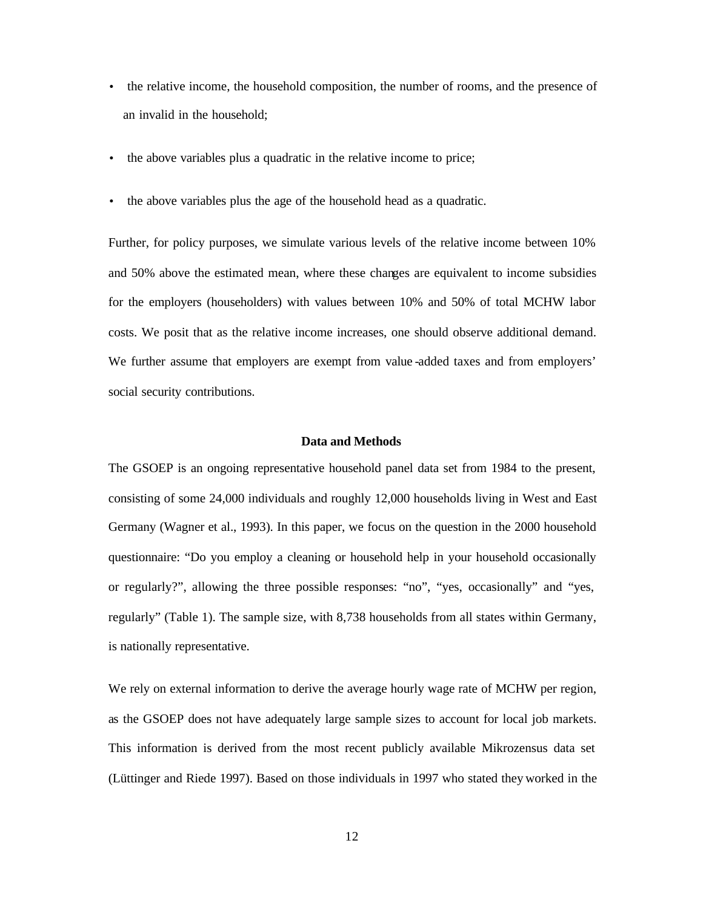- the relative income, the household composition, the number of rooms, and the presence of an invalid in the household;
- the above variables plus a quadratic in the relative income to price;
- the above variables plus the age of the household head as a quadratic.

Further, for policy purposes, we simulate various levels of the relative income between 10% and 50% above the estimated mean, where these changes are equivalent to income subsidies for the employers (householders) with values between 10% and 50% of total MCHW labor costs. We posit that as the relative income increases, one should observe additional demand. We further assume that employers are exempt from value -added taxes and from employers' social security contributions.

#### **Data and Methods**

The GSOEP is an ongoing representative household panel data set from 1984 to the present, consisting of some 24,000 individuals and roughly 12,000 households living in West and East Germany (Wagner et al., 1993). In this paper, we focus on the question in the 2000 household questionnaire: "Do you employ a cleaning or household help in your household occasionally or regularly?", allowing the three possible responses: "no", "yes, occasionally" and "yes, regularly" (Table 1). The sample size, with 8,738 households from all states within Germany, is nationally representative.

We rely on external information to derive the average hourly wage rate of MCHW per region, as the GSOEP does not have adequately large sample sizes to account for local job markets. This information is derived from the most recent publicly available Mikrozensus data set (Lüttinger and Riede 1997). Based on those individuals in 1997 who stated they worked in the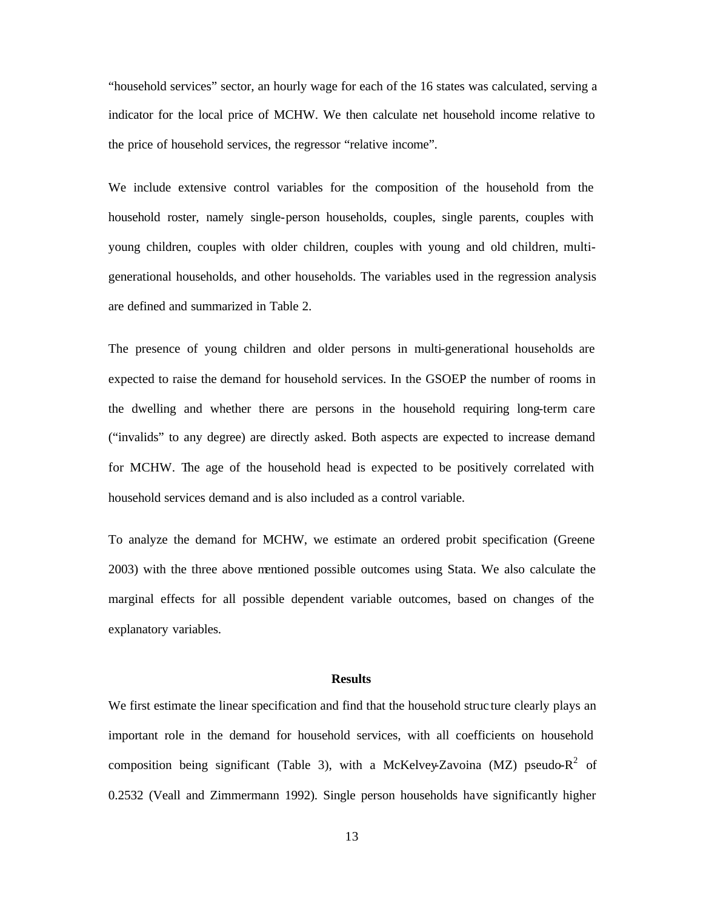"household services" sector, an hourly wage for each of the 16 states was calculated, serving a indicator for the local price of MCHW. We then calculate net household income relative to the price of household services, the regressor "relative income".

We include extensive control variables for the composition of the household from the household roster, namely single-person households, couples, single parents, couples with young children, couples with older children, couples with young and old children, multigenerational households, and other households. The variables used in the regression analysis are defined and summarized in Table 2.

The presence of young children and older persons in multi-generational households are expected to raise the demand for household services. In the GSOEP the number of rooms in the dwelling and whether there are persons in the household requiring long-term care ("invalids" to any degree) are directly asked. Both aspects are expected to increase demand for MCHW. The age of the household head is expected to be positively correlated with household services demand and is also included as a control variable.

To analyze the demand for MCHW, we estimate an ordered probit specification (Greene 2003) with the three above mentioned possible outcomes using Stata. We also calculate the marginal effects for all possible dependent variable outcomes, based on changes of the explanatory variables.

#### **Results**

We first estimate the linear specification and find that the household struc ture clearly plays an important role in the demand for household services, with all coefficients on household composition being significant (Table 3), with a McKelvey-Zavoina (MZ) pseudo- $R^2$  of 0.2532 (Veall and Zimmermann 1992). Single person households have significantly higher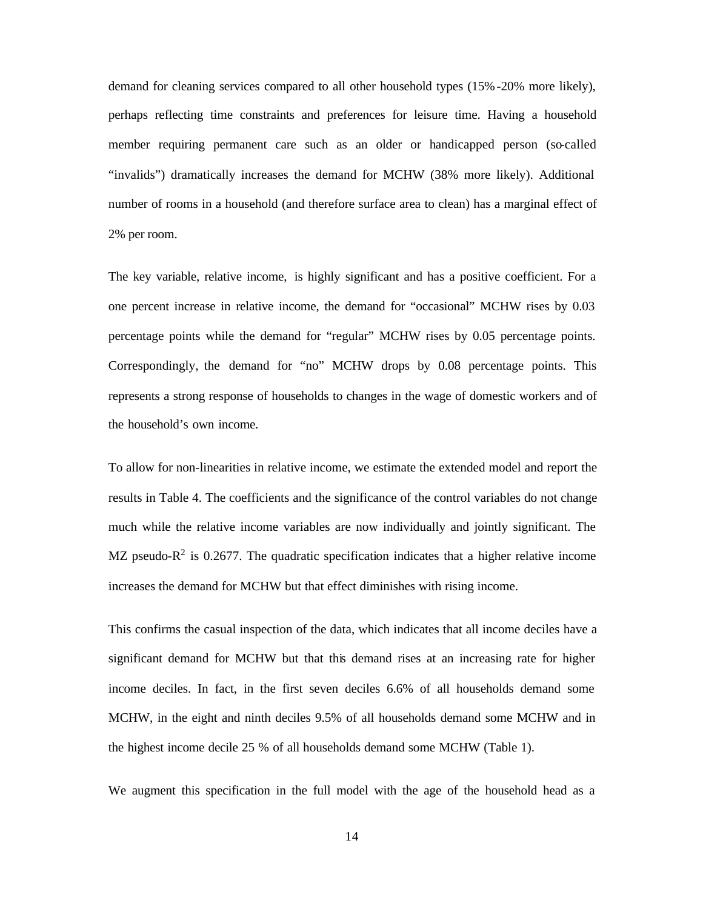demand for cleaning services compared to all other household types (15%-20% more likely), perhaps reflecting time constraints and preferences for leisure time. Having a household member requiring permanent care such as an older or handicapped person (so-called "invalids") dramatically increases the demand for MCHW (38% more likely). Additional number of rooms in a household (and therefore surface area to clean) has a marginal effect of 2% per room.

The key variable, relative income, is highly significant and has a positive coefficient. For a one percent increase in relative income, the demand for "occasional" MCHW rises by 0.03 percentage points while the demand for "regular" MCHW rises by 0.05 percentage points. Correspondingly, the demand for "no" MCHW drops by 0.08 percentage points. This represents a strong response of households to changes in the wage of domestic workers and of the household's own income.

To allow for non-linearities in relative income, we estimate the extended model and report the results in Table 4. The coefficients and the significance of the control variables do not change much while the relative income variables are now individually and jointly significant. The MZ pseudo- $R^2$  is 0.2677. The quadratic specification indicates that a higher relative income increases the demand for MCHW but that effect diminishes with rising income.

This confirms the casual inspection of the data, which indicates that all income deciles have a significant demand for MCHW but that this demand rises at an increasing rate for higher income deciles. In fact, in the first seven deciles 6.6% of all households demand some MCHW, in the eight and ninth deciles 9.5% of all households demand some MCHW and in the highest income decile 25 % of all households demand some MCHW (Table 1).

We augment this specification in the full model with the age of the household head as a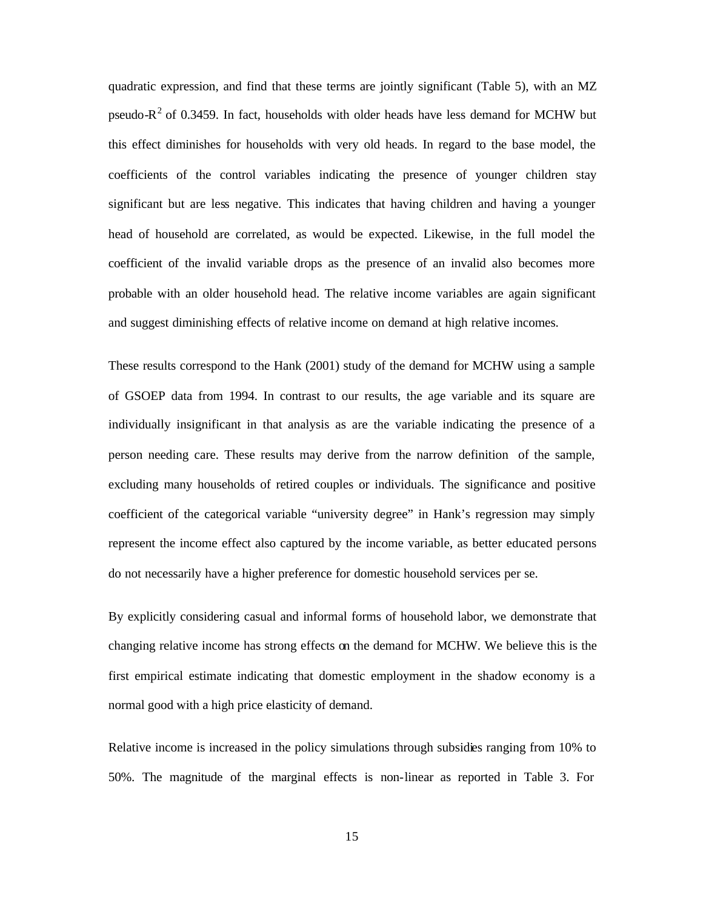quadratic expression, and find that these terms are jointly significant (Table 5), with an MZ pseudo- $R<sup>2</sup>$  of 0.3459. In fact, households with older heads have less demand for MCHW but this effect diminishes for households with very old heads. In regard to the base model, the coefficients of the control variables indicating the presence of younger children stay significant but are less negative. This indicates that having children and having a younger head of household are correlated, as would be expected. Likewise, in the full model the coefficient of the invalid variable drops as the presence of an invalid also becomes more probable with an older household head. The relative income variables are again significant and suggest diminishing effects of relative income on demand at high relative incomes.

These results correspond to the Hank (2001) study of the demand for MCHW using a sample of GSOEP data from 1994. In contrast to our results, the age variable and its square are individually insignificant in that analysis as are the variable indicating the presence of a person needing care. These results may derive from the narrow definition of the sample, excluding many households of retired couples or individuals. The significance and positive coefficient of the categorical variable "university degree" in Hank's regression may simply represent the income effect also captured by the income variable, as better educated persons do not necessarily have a higher preference for domestic household services per se.

By explicitly considering casual and informal forms of household labor, we demonstrate that changing relative income has strong effects on the demand for MCHW. We believe this is the first empirical estimate indicating that domestic employment in the shadow economy is a normal good with a high price elasticity of demand.

Relative income is increased in the policy simulations through subsidies ranging from 10% to 50%. The magnitude of the marginal effects is non-linear as reported in Table 3. For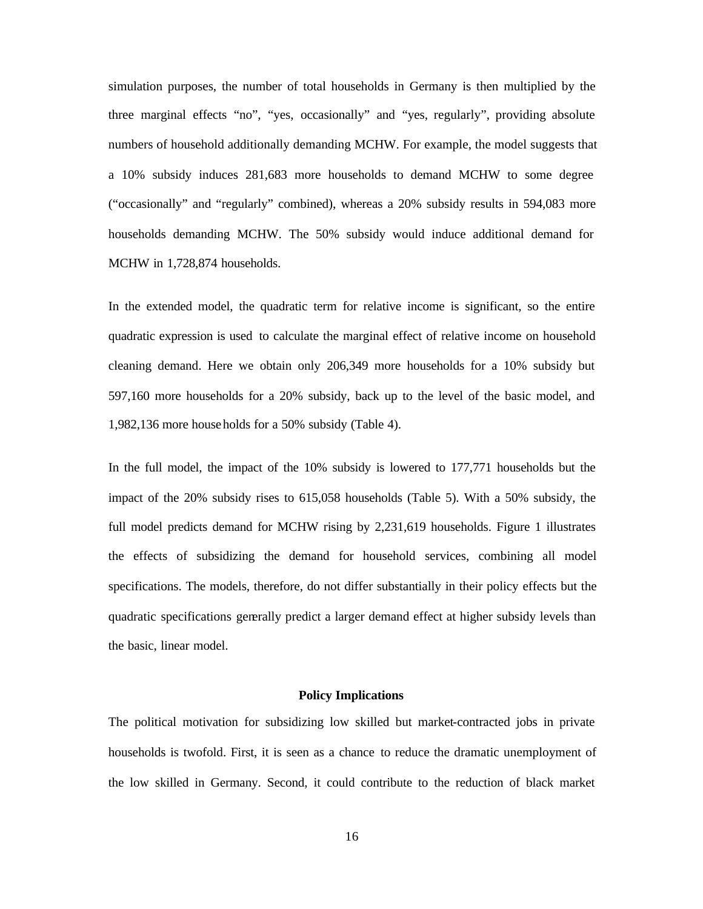simulation purposes, the number of total households in Germany is then multiplied by the three marginal effects "no", "yes, occasionally" and "yes, regularly", providing absolute numbers of household additionally demanding MCHW. For example, the model suggests that a 10% subsidy induces 281,683 more households to demand MCHW to some degree ("occasionally" and "regularly" combined), whereas a 20% subsidy results in 594,083 more households demanding MCHW. The 50% subsidy would induce additional demand for MCHW in 1,728,874 households.

In the extended model, the quadratic term for relative income is significant, so the entire quadratic expression is used to calculate the marginal effect of relative income on household cleaning demand. Here we obtain only 206,349 more households for a 10% subsidy but 597,160 more households for a 20% subsidy, back up to the level of the basic model, and 1,982,136 more households for a 50% subsidy (Table 4).

In the full model, the impact of the 10% subsidy is lowered to 177,771 households but the impact of the 20% subsidy rises to 615,058 households (Table 5). With a 50% subsidy, the full model predicts demand for MCHW rising by 2,231,619 households. Figure 1 illustrates the effects of subsidizing the demand for household services, combining all model specifications. The models, therefore, do not differ substantially in their policy effects but the quadratic specifications generally predict a larger demand effect at higher subsidy levels than the basic, linear model.

#### **Policy Implications**

The political motivation for subsidizing low skilled but market-contracted jobs in private households is twofold. First, it is seen as a chance to reduce the dramatic unemployment of the low skilled in Germany. Second, it could contribute to the reduction of black market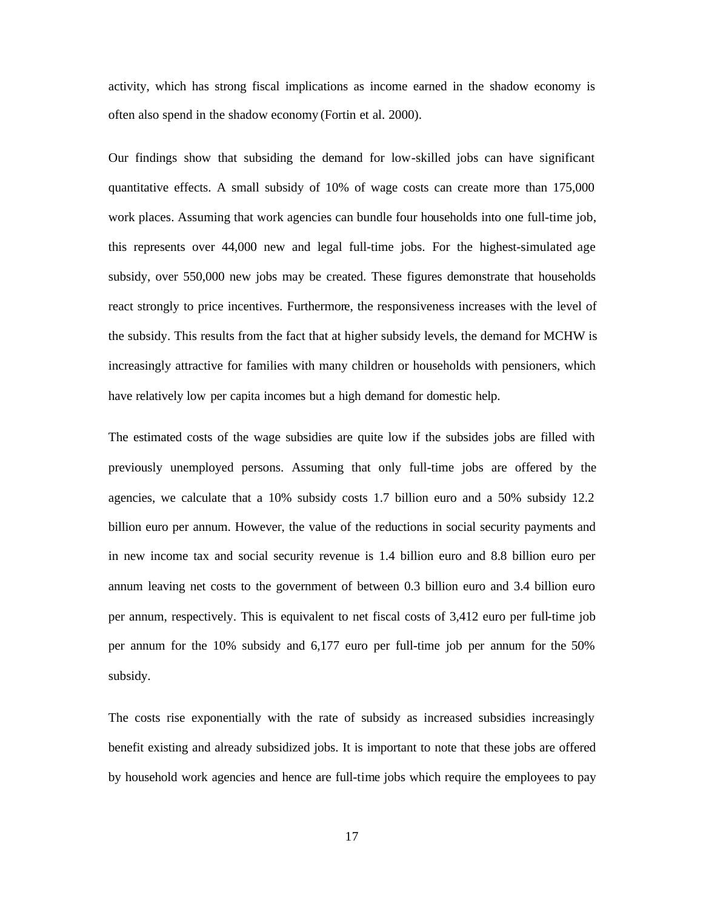activity, which has strong fiscal implications as income earned in the shadow economy is often also spend in the shadow economy (Fortin et al. 2000).

Our findings show that subsiding the demand for low-skilled jobs can have significant quantitative effects. A small subsidy of 10% of wage costs can create more than 175,000 work places. Assuming that work agencies can bundle four households into one full-time job, this represents over 44,000 new and legal full-time jobs. For the highest-simulated age subsidy, over 550,000 new jobs may be created. These figures demonstrate that households react strongly to price incentives. Furthermore, the responsiveness increases with the level of the subsidy. This results from the fact that at higher subsidy levels, the demand for MCHW is increasingly attractive for families with many children or households with pensioners, which have relatively low per capita incomes but a high demand for domestic help.

The estimated costs of the wage subsidies are quite low if the subsides jobs are filled with previously unemployed persons. Assuming that only full-time jobs are offered by the agencies, we calculate that a 10% subsidy costs 1.7 billion euro and a 50% subsidy 12.2 billion euro per annum. However, the value of the reductions in social security payments and in new income tax and social security revenue is 1.4 billion euro and 8.8 billion euro per annum leaving net costs to the government of between 0.3 billion euro and 3.4 billion euro per annum, respectively. This is equivalent to net fiscal costs of 3,412 euro per full-time job per annum for the 10% subsidy and 6,177 euro per full-time job per annum for the 50% subsidy.

The costs rise exponentially with the rate of subsidy as increased subsidies increasingly benefit existing and already subsidized jobs. It is important to note that these jobs are offered by household work agencies and hence are full-time jobs which require the employees to pay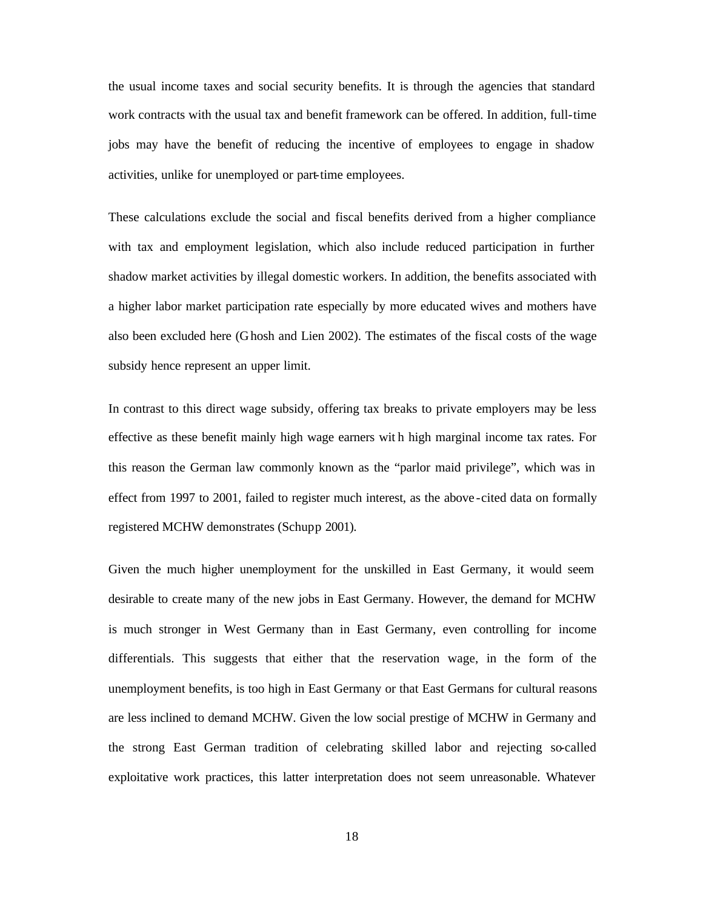the usual income taxes and social security benefits. It is through the agencies that standard work contracts with the usual tax and benefit framework can be offered. In addition, full-time jobs may have the benefit of reducing the incentive of employees to engage in shadow activities, unlike for unemployed or part-time employees.

These calculations exclude the social and fiscal benefits derived from a higher compliance with tax and employment legislation, which also include reduced participation in further shadow market activities by illegal domestic workers. In addition, the benefits associated with a higher labor market participation rate especially by more educated wives and mothers have also been excluded here (Ghosh and Lien 2002). The estimates of the fiscal costs of the wage subsidy hence represent an upper limit.

In contrast to this direct wage subsidy, offering tax breaks to private employers may be less effective as these benefit mainly high wage earners wit h high marginal income tax rates. For this reason the German law commonly known as the "parlor maid privilege", which was in effect from 1997 to 2001, failed to register much interest, as the above -cited data on formally registered MCHW demonstrates (Schupp 2001).

Given the much higher unemployment for the unskilled in East Germany, it would seem desirable to create many of the new jobs in East Germany. However, the demand for MCHW is much stronger in West Germany than in East Germany, even controlling for income differentials. This suggests that either that the reservation wage, in the form of the unemployment benefits, is too high in East Germany or that East Germans for cultural reasons are less inclined to demand MCHW. Given the low social prestige of MCHW in Germany and the strong East German tradition of celebrating skilled labor and rejecting so-called exploitative work practices, this latter interpretation does not seem unreasonable. Whatever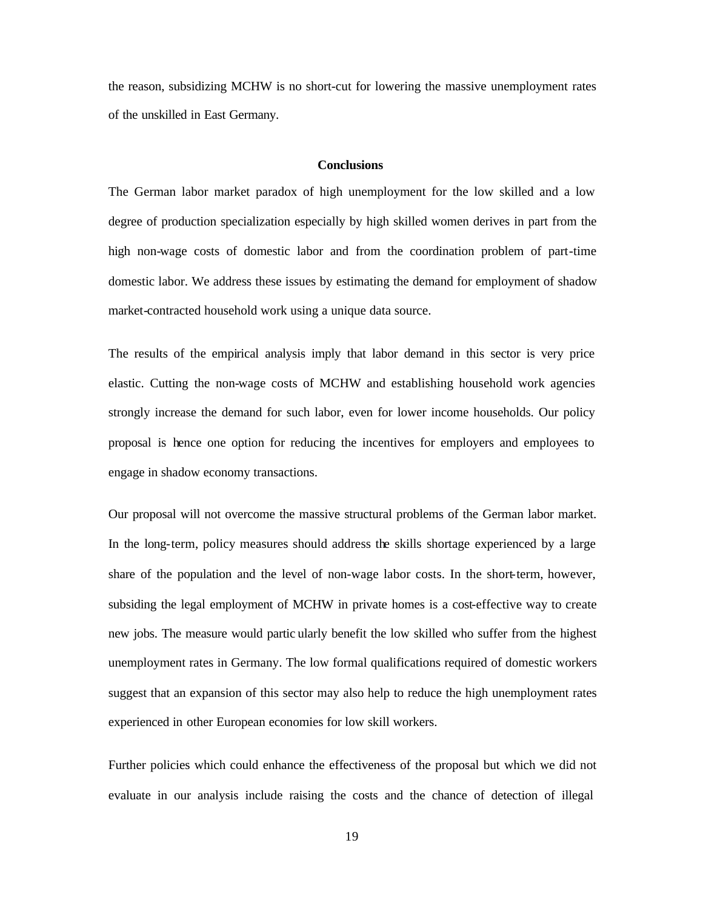the reason, subsidizing MCHW is no short-cut for lowering the massive unemployment rates of the unskilled in East Germany.

#### **Conclusions**

The German labor market paradox of high unemployment for the low skilled and a low degree of production specialization especially by high skilled women derives in part from the high non-wage costs of domestic labor and from the coordination problem of part-time domestic labor. We address these issues by estimating the demand for employment of shadow market-contracted household work using a unique data source.

The results of the empirical analysis imply that labor demand in this sector is very price elastic. Cutting the non-wage costs of MCHW and establishing household work agencies strongly increase the demand for such labor, even for lower income households. Our policy proposal is hence one option for reducing the incentives for employers and employees to engage in shadow economy transactions.

Our proposal will not overcome the massive structural problems of the German labor market. In the long-term, policy measures should address the skills shortage experienced by a large share of the population and the level of non-wage labor costs. In the short-term, however, subsiding the legal employment of MCHW in private homes is a cost-effective way to create new jobs. The measure would partic ularly benefit the low skilled who suffer from the highest unemployment rates in Germany. The low formal qualifications required of domestic workers suggest that an expansion of this sector may also help to reduce the high unemployment rates experienced in other European economies for low skill workers.

Further policies which could enhance the effectiveness of the proposal but which we did not evaluate in our analysis include raising the costs and the chance of detection of illegal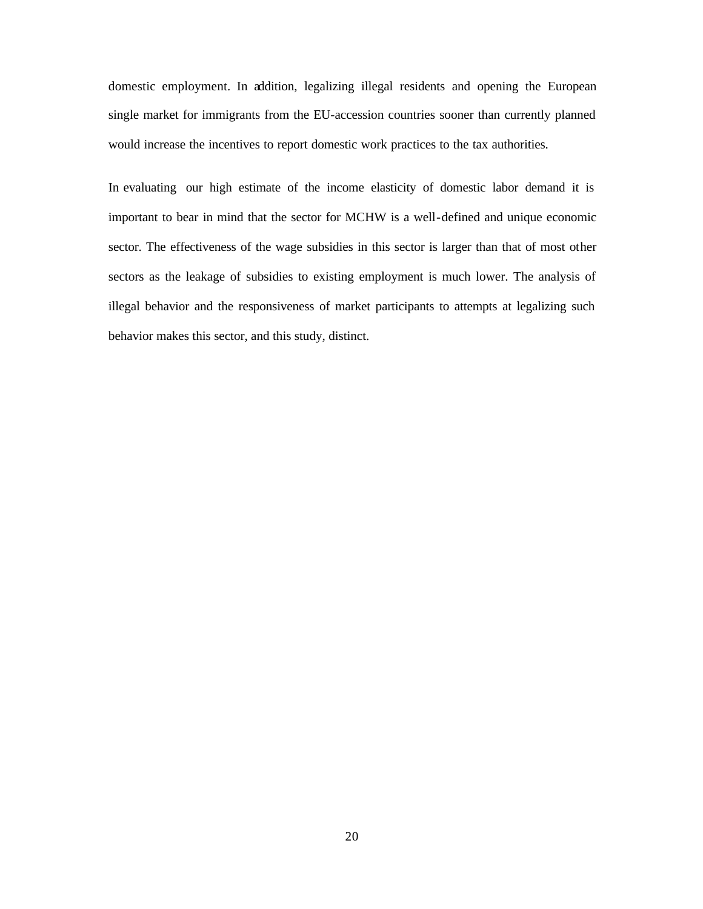domestic employment. In addition, legalizing illegal residents and opening the European single market for immigrants from the EU-accession countries sooner than currently planned would increase the incentives to report domestic work practices to the tax authorities.

In evaluating our high estimate of the income elasticity of domestic labor demand it is important to bear in mind that the sector for MCHW is a well-defined and unique economic sector. The effectiveness of the wage subsidies in this sector is larger than that of most other sectors as the leakage of subsidies to existing employment is much lower. The analysis of illegal behavior and the responsiveness of market participants to attempts at legalizing such behavior makes this sector, and this study, distinct.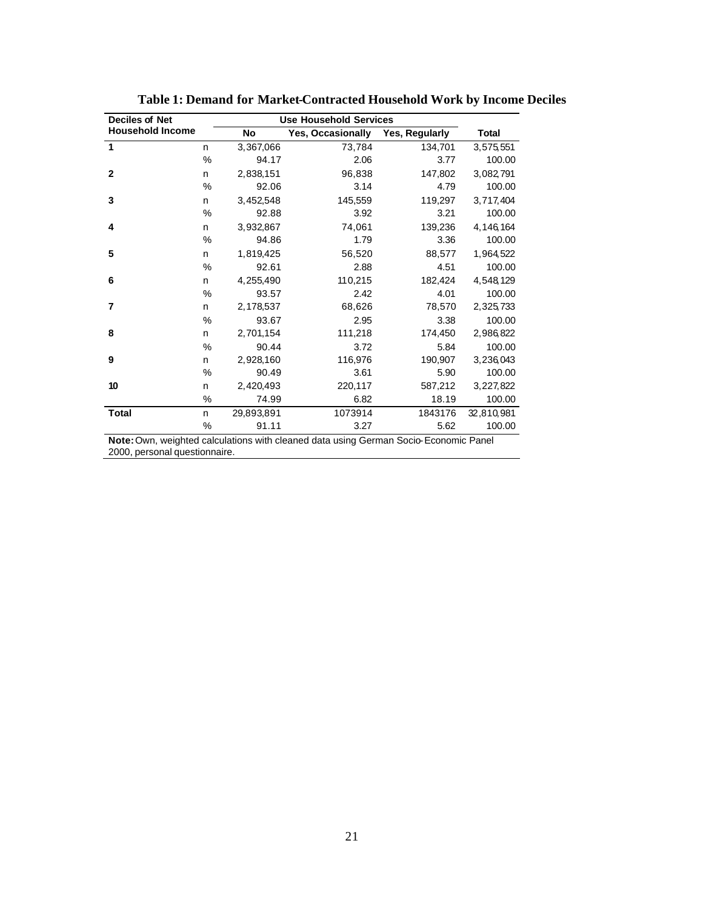| <b>Deciles of Net</b>   |      | <b>Use Household Services</b> |                   |                |             |  |
|-------------------------|------|-------------------------------|-------------------|----------------|-------------|--|
| <b>Household Income</b> |      | No                            | Yes, Occasionally | Yes, Regularly | Total       |  |
| 1                       | n.   | 3,367,066                     | 73,784            | 134,701        | 3,575,551   |  |
|                         | $\%$ | 94.17                         | 2.06              | 3.77           | 100.00      |  |
| $\mathbf{2}$            | n    | 2,838,151                     | 96,838            | 147,802        | 3,082,791   |  |
|                         | %    | 92.06                         | 3.14              | 4.79           | 100.00      |  |
| 3                       | n    | 3,452,548                     | 145,559           | 119,297        | 3,717,404   |  |
|                         | %    | 92.88                         | 3.92              | 3.21           | 100.00      |  |
| 4                       | n    | 3,932,867                     | 74,061            | 139,236        | 4, 146, 164 |  |
|                         | %    | 94.86                         | 1.79              | 3.36           | 100.00      |  |
| 5                       | n    | 1,819,425                     | 56,520            | 88,577         | 1,964,522   |  |
|                         | %    | 92.61                         | 2.88              | 4.51           | 100.00      |  |
| 6                       | n    | 4,255,490                     | 110,215           | 182,424        | 4,548,129   |  |
|                         | %    | 93.57                         | 2.42              | 4.01           | 100.00      |  |
| 7                       | n    | 2,178,537                     | 68,626            | 78,570         | 2,325,733   |  |
|                         | %    | 93.67                         | 2.95              | 3.38           | 100.00      |  |
| 8                       | n    | 2,701,154                     | 111,218           | 174,450        | 2,986,822   |  |
|                         | $\%$ | 90.44                         | 3.72              | 5.84           | 100.00      |  |
| 9                       | n    | 2,928,160                     | 116,976           | 190,907        | 3,236,043   |  |
|                         | %    | 90.49                         | 3.61              | 5.90           | 100.00      |  |
| 10                      | n    | 2,420,493                     | 220,117           | 587,212        | 3, 227, 822 |  |
|                         | %    | 74.99                         | 6.82              | 18.19          | 100.00      |  |
| <b>Total</b>            | n    | 29,893,891                    | 1073914           | 1843176        | 32,810,981  |  |
|                         | %    | 91.11                         | 3.27              | 5.62           | 100.00      |  |

**Table 1: Demand for Market-Contracted Household Work by Income Deciles**

**Note:** Own, weighted calculations with cleaned data using German Socio-Economic Panel 2000, personal questionnaire.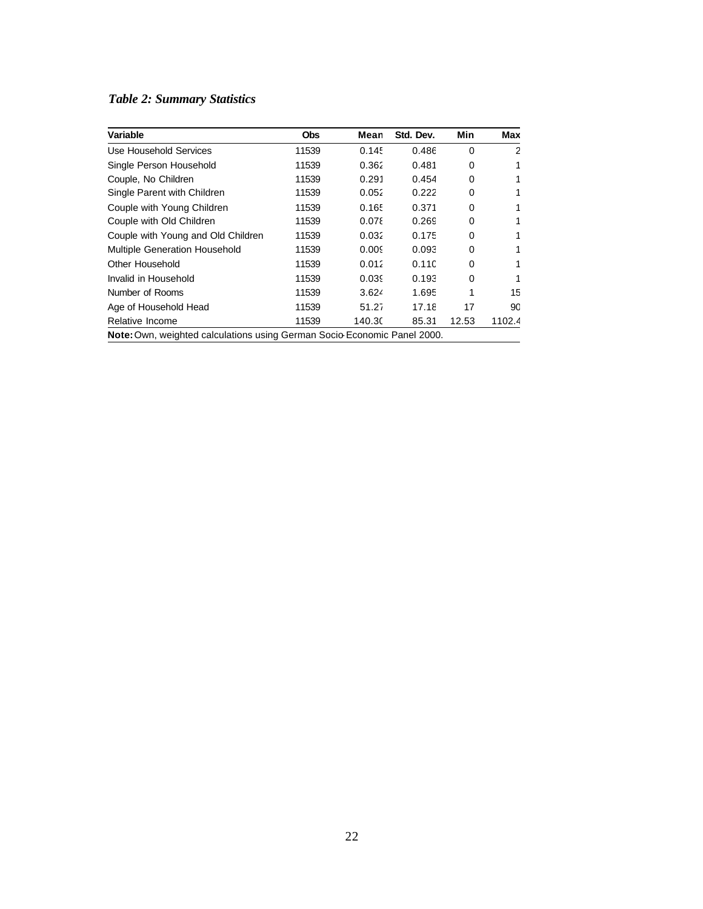## *Table 2: Summary Statistics*

| <b>Obs</b> | Mean   | Std. Dev. | Min      | Max    |
|------------|--------|-----------|----------|--------|
| 11539      | 0.145  | 0.486     | $\Omega$ | 2      |
| 11539      | 0.362  | 0.481     | 0        | 1      |
| 11539      | 0.291  | 0.454     | 0        | 1      |
| 11539      | 0.052  | 0.222     | 0        | 1      |
| 11539      | 0.165  | 0.371     | $\Omega$ | 1      |
| 11539      | 0.078  | 0.269     | 0        | 1      |
| 11539      | 0.032  | 0.175     | 0        | 1      |
| 11539      | 0.005  | 0.093     | 0        | 1      |
| 11539      | 0.012  | 0.11C     | $\Omega$ | 1      |
| 11539      | 0.039  | 0.193     | 0        | 1      |
| 11539      | 3.624  | 1.695     | 1        | 15     |
| 11539      | 51.27  | 17.18     | 17       | 90     |
| 11539      | 140.30 | 85.31     | 12.53    | 1102.4 |
|            |        |           |          |        |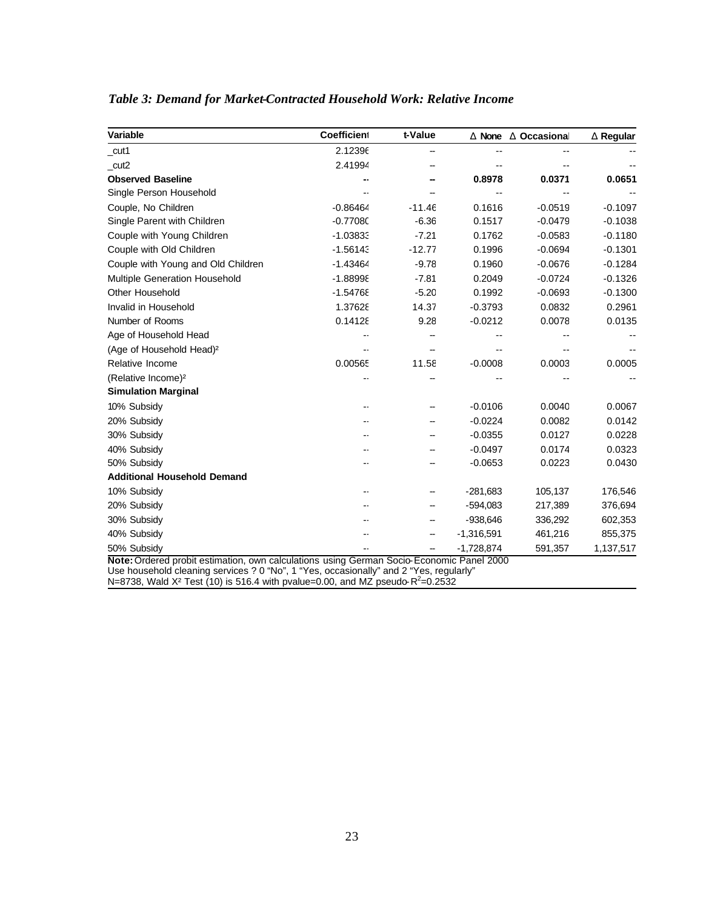| t-Value  |              | <b>D</b> None <b>D</b> Occasional                                                      | <b>D</b> Regular                                                                         |
|----------|--------------|----------------------------------------------------------------------------------------|------------------------------------------------------------------------------------------|
|          |              |                                                                                        |                                                                                          |
|          |              |                                                                                        |                                                                                          |
|          | 0.8978       | 0.0371                                                                                 | 0.0651                                                                                   |
|          |              |                                                                                        |                                                                                          |
| $-11.46$ | 0.1616       | $-0.0519$                                                                              | $-0.1097$                                                                                |
| $-6.36$  | 0.1517       | $-0.0479$                                                                              | $-0.1038$                                                                                |
| $-7.21$  | 0.1762       | $-0.0583$                                                                              | $-0.1180$                                                                                |
| $-12.77$ | 0.1996       | $-0.0694$                                                                              | $-0.1301$                                                                                |
| $-9.78$  | 0.1960       | $-0.0676$                                                                              | $-0.1284$                                                                                |
| $-7.81$  | 0.2049       | $-0.0724$                                                                              | $-0.1326$                                                                                |
| $-5.20$  | 0.1992       | $-0.0693$                                                                              | $-0.1300$                                                                                |
| 14.37    | $-0.3793$    | 0.0832                                                                                 | 0.2961                                                                                   |
| 9.28     | $-0.0212$    | 0.0078                                                                                 | 0.0135                                                                                   |
|          |              |                                                                                        |                                                                                          |
|          |              |                                                                                        |                                                                                          |
| 11.58    | $-0.0008$    | 0.0003                                                                                 | 0.0005                                                                                   |
|          |              |                                                                                        |                                                                                          |
|          |              |                                                                                        |                                                                                          |
|          | $-0.0106$    | 0.0040                                                                                 | 0.0067                                                                                   |
|          | $-0.0224$    | 0.0082                                                                                 | 0.0142                                                                                   |
|          | $-0.0355$    | 0.0127                                                                                 | 0.0228                                                                                   |
|          | $-0.0497$    | 0.0174                                                                                 | 0.0323                                                                                   |
|          | $-0.0653$    | 0.0223                                                                                 | 0.0430                                                                                   |
|          |              |                                                                                        |                                                                                          |
|          | $-281,683$   | 105,137                                                                                | 176,546                                                                                  |
|          | $-594,083$   | 217,389                                                                                | 376,694                                                                                  |
|          | $-938,646$   | 336,292                                                                                | 602,353                                                                                  |
|          | $-1,316,591$ | 461,216                                                                                | 855,375                                                                                  |
|          | $-1,728,874$ | 591,357                                                                                | 1,137,517                                                                                |
|          |              | Use household cleaning services 2.0 "No" 1 "Yes, occasionally" and 2 "Yes, requilarly" | Note: Ordered probit estimation, own calculations using German Socio-Economic Panel 2000 |

## *Table 3: Demand for Market-Contracted Household Work: Relative Income*

Use household cleaning services ? 0 "No", 1 "Yes, occasionally" and 2 "Yes, regularly"

N=8738, Wald X<sup>2</sup> Test (10) is 516.4 with pvalue=0.00, and MZ pseudo-R<sup>2</sup>=0.2532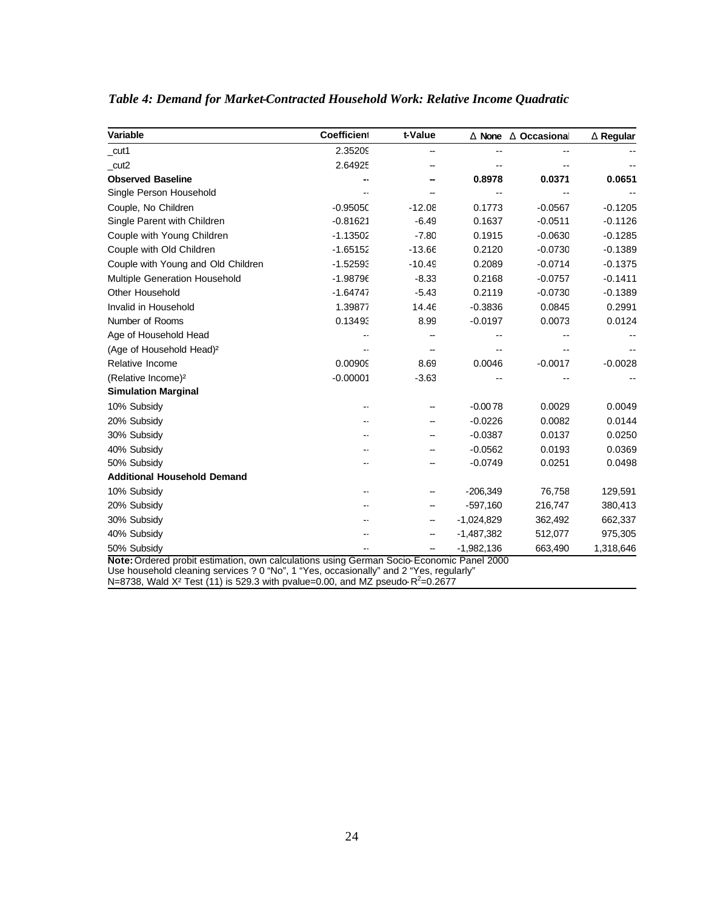| Variable                             | Coefficient | t-Value  |              | <b>D</b> None <b>D</b> Occasional | <b>D</b> Regular |
|--------------------------------------|-------------|----------|--------------|-----------------------------------|------------------|
| cut1                                 | 2.35209     |          | --           |                                   |                  |
| cut2                                 | 2.64925     |          |              |                                   |                  |
| <b>Observed Baseline</b>             |             |          | 0.8978       | 0.0371                            | 0.0651           |
| Single Person Household              |             |          |              |                                   |                  |
| Couple, No Children                  | $-0.9505C$  | $-12.08$ | 0.1773       | $-0.0567$                         | $-0.1205$        |
| Single Parent with Children          | $-0.81621$  | $-6.49$  | 0.1637       | $-0.0511$                         | $-0.1126$        |
| Couple with Young Children           | $-1.13502$  | $-7.80$  | 0.1915       | $-0.0630$                         | $-0.1285$        |
| Couple with Old Children             | $-1.65152$  | $-13.66$ | 0.2120       | $-0.0730$                         | $-0.1389$        |
| Couple with Young and Old Children   | $-1.52593$  | $-10.49$ | 0.2089       | $-0.0714$                         | $-0.1375$        |
| Multiple Generation Household        | $-1.98796$  | $-8.33$  | 0.2168       | $-0.0757$                         | $-0.1411$        |
| <b>Other Household</b>               | $-1.64747$  | $-5.43$  | 0.2119       | $-0.0730$                         | $-0.1389$        |
| Invalid in Household                 | 1.39877     | 14.46    | $-0.3836$    | 0.0845                            | 0.2991           |
| Number of Rooms                      | 0.13493     | 8.99     | $-0.0197$    | 0.0073                            | 0.0124           |
| Age of Household Head                |             |          |              |                                   |                  |
| (Age of Household Head) <sup>2</sup> |             |          |              |                                   |                  |
| Relative Income                      | 0.00909     | 8.69     | 0.0046       | $-0.0017$                         | $-0.0028$        |
| (Relative Income) <sup>2</sup>       | $-0.00001$  | $-3.63$  |              |                                   |                  |
| <b>Simulation Marginal</b>           |             |          |              |                                   |                  |
| 10% Subsidy                          |             |          | $-0.0078$    | 0.0029                            | 0.0049           |
| 20% Subsidy                          |             |          | $-0.0226$    | 0.0082                            | 0.0144           |
| 30% Subsidy                          |             |          | $-0.0387$    | 0.0137                            | 0.0250           |
| 40% Subsidy                          |             |          | $-0.0562$    | 0.0193                            | 0.0369           |
| 50% Subsidy                          |             |          | $-0.0749$    | 0.0251                            | 0.0498           |
| <b>Additional Household Demand</b>   |             |          |              |                                   |                  |
| 10% Subsidy                          |             |          | $-206,349$   | 76,758                            | 129,591          |
| 20% Subsidy                          |             |          | $-597,160$   | 216,747                           | 380,413          |
| 30% Subsidy                          |             | --       | $-1,024,829$ | 362,492                           | 662,337          |
| 40% Subsidy                          |             |          | $-1,487,382$ | 512,077                           | 975,305          |
| 50% Subsidy                          |             |          | $-1,982,136$ | 663,490                           | 1,318,646        |

## *Table 4: Demand for Market-Contracted Household Work: Relative Income Quadratic*

Use household cleaning services ? 0 "No", 1 "Yes, occasionally" and 2 "Yes, regularly"

N=8738, Wald X<sup>2</sup> Test (11) is 529.3 with pvalue=0.00, and MZ pseudo-R<sup>2</sup>=0.2677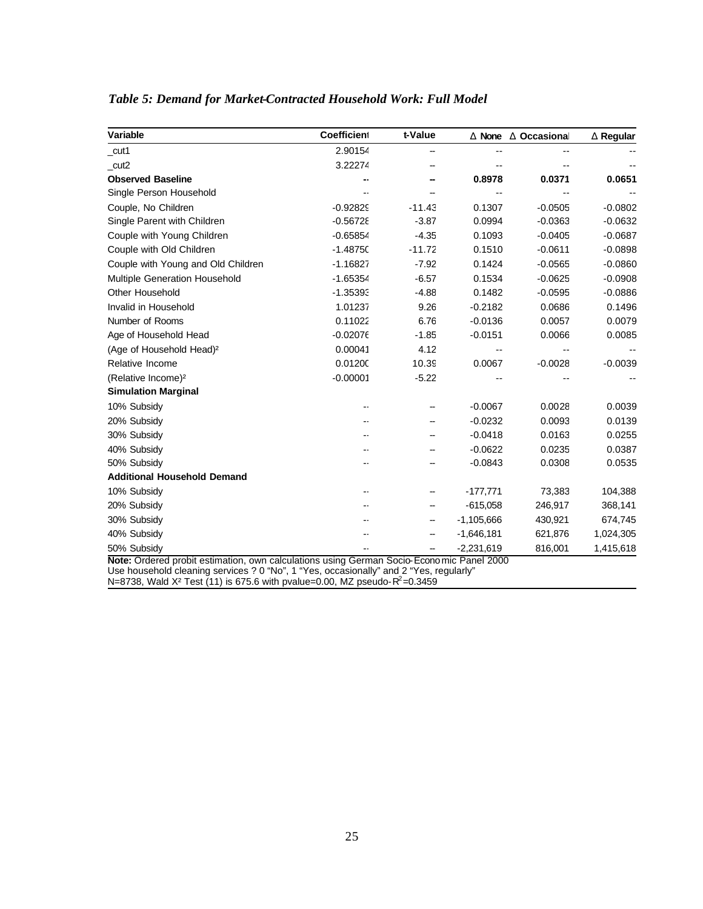| Variable                             | Coefficient | t-Value  |              | <b>D</b> None <b>D</b> Occasional | <b>D</b> Regular |
|--------------------------------------|-------------|----------|--------------|-----------------------------------|------------------|
| cut1                                 | 2.90154     |          | --           |                                   |                  |
| cut2                                 | 3.22274     |          |              |                                   |                  |
| <b>Observed Baseline</b>             |             |          | 0.8978       | 0.0371                            | 0.0651           |
| Single Person Household              |             |          |              |                                   |                  |
| Couple, No Children                  | $-0.92829$  | $-11.43$ | 0.1307       | $-0.0505$                         | $-0.0802$        |
| Single Parent with Children          | $-0.56728$  | $-3.87$  | 0.0994       | $-0.0363$                         | $-0.0632$        |
| Couple with Young Children           | $-0.65854$  | $-4.35$  | 0.1093       | $-0.0405$                         | $-0.0687$        |
| Couple with Old Children             | $-1.4875C$  | $-11.72$ | 0.1510       | $-0.0611$                         | $-0.0898$        |
| Couple with Young and Old Children   | $-1.16827$  | $-7.92$  | 0.1424       | $-0.0565$                         | $-0.0860$        |
| <b>Multiple Generation Household</b> | $-1.65354$  | $-6.57$  | 0.1534       | $-0.0625$                         | $-0.0908$        |
| <b>Other Household</b>               | $-1.35393$  | $-4.88$  | 0.1482       | $-0.0595$                         | $-0.0886$        |
| Invalid in Household                 | 1.01237     | 9.26     | $-0.2182$    | 0.0686                            | 0.1496           |
| Number of Rooms                      | 0.11022     | 6.76     | $-0.0136$    | 0.0057                            | 0.0079           |
| Age of Household Head                | $-0.02076$  | $-1.85$  | $-0.0151$    | 0.0066                            | 0.0085           |
| (Age of Household Head) <sup>2</sup> | 0.00041     | 4.12     |              |                                   |                  |
| Relative Income                      | 0.01200     | 10.39    | 0.0067       | $-0.0028$                         | $-0.0039$        |
| (Relative Income) <sup>2</sup>       | $-0.00001$  | $-5.22$  |              |                                   |                  |
| <b>Simulation Marginal</b>           |             |          |              |                                   |                  |
| 10% Subsidy                          |             |          | $-0.0067$    | 0.0028                            | 0.0039           |
| 20% Subsidy                          |             |          | $-0.0232$    | 0.0093                            | 0.0139           |
| 30% Subsidy                          |             |          | $-0.0418$    | 0.0163                            | 0.0255           |
| 40% Subsidy                          |             |          | $-0.0622$    | 0.0235                            | 0.0387           |
| 50% Subsidy                          |             |          | $-0.0843$    | 0.0308                            | 0.0535           |
| <b>Additional Household Demand</b>   |             |          |              |                                   |                  |
| 10% Subsidy                          |             |          | $-177,771$   | 73,383                            | 104,388          |
| 20% Subsidy                          |             | --       | $-615,058$   | 246,917                           | 368,141          |
| 30% Subsidy                          |             | --       | $-1,105,666$ | 430,921                           | 674,745          |
| 40% Subsidy                          |             |          | $-1,646,181$ | 621,876                           | 1,024,305        |
| 50% Subsidy                          |             |          | $-2,231,619$ | 816,001                           | 1,415,618        |

## *Table 5: Demand for Market-Contracted Household Work: Full Model*

Use household cleaning services ? 0 "No", 1 "Yes, occasionally" and 2 "Yes, regularly"

N=8738, Wald X<sup>2</sup> Test (11) is 675.6 with pvalue=0.00, MZ pseudo-R<sup>2</sup>=0.3459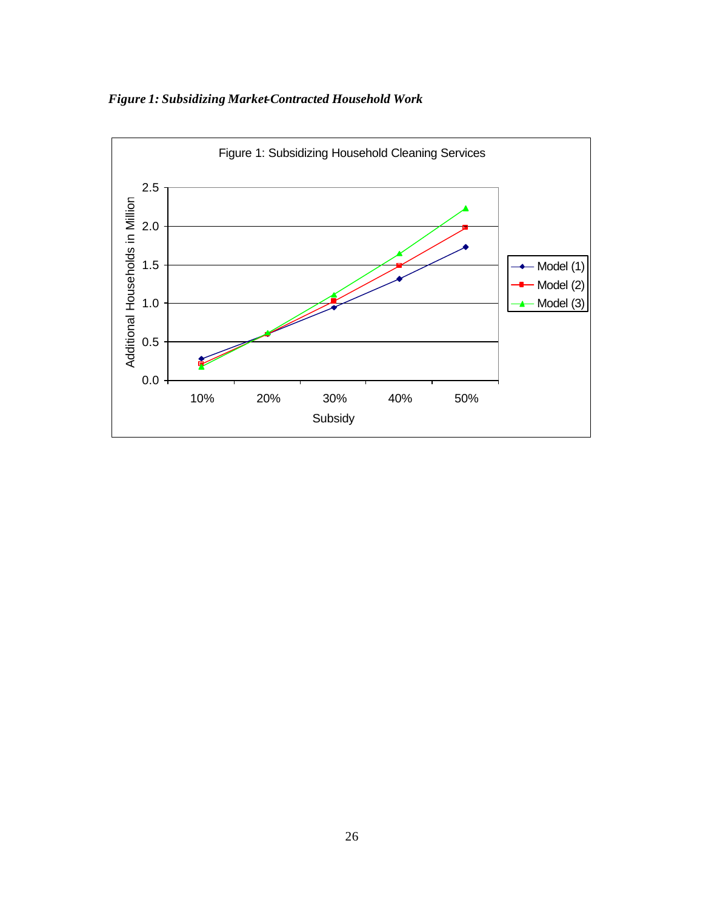## *Figure 1: Subsidizing Market-Contracted Household Work*

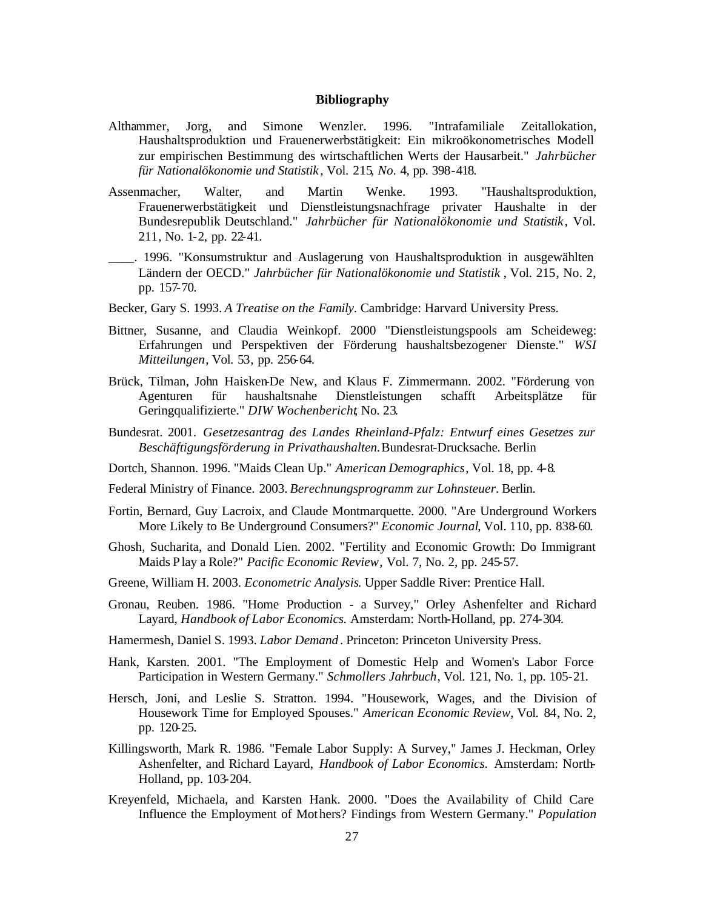#### **Bibliography**

- Althammer, Jorg, and Simone Wenzler. 1996. "Intrafamiliale Zeitallokation, Haushaltsproduktion und Frauenerwerbstätigkeit: Ein mikroökonometrisches Modell zur empirischen Bestimmung des wirtschaftlichen Werts der Hausarbeit." *Jahrbücher für Nationalökonomie und Statistik* , Vol. 215*, No.* 4, pp. 398-418.
- Assenmacher, Walter, and Martin Wenke. 1993. "Haushaltsproduktion, Frauenerwerbstätigkeit und Dienstleistungsnachfrage privater Haushalte in der Bundesrepublik Deutschland." *Jahrbücher für Nationalökonomie und Statistik*, Vol. 211, No. 1-2, pp. 22-41.
- \_\_\_\_. 1996. "Konsumstruktur and Auslagerung von Haushaltsproduktion in ausgewählten Ländern der OECD." *Jahrbücher für Nationalökonomie und Statistik* , Vol. 215, No. 2, pp. 157-70.
- Becker, Gary S. 1993. *A Treatise on the Family*. Cambridge: Harvard University Press.
- Bittner, Susanne, and Claudia Weinkopf. 2000 "Dienstleistungspools am Scheideweg: Erfahrungen und Perspektiven der Förderung haushaltsbezogener Dienste." *WSI Mitteilungen*, Vol. 53, pp. 256-64.
- Brück, Tilman, John Haisken-De New, and Klaus F. Zimmermann. 2002. "Förderung von Agenturen für haushaltsnahe Dienstleistungen schafft Arbeitsplätze für Geringqualifizierte." *DIW Wochenbericht*, No. 23.
- Bundesrat. 2001. *Gesetzesantrag des Landes Rheinland-Pfalz: Entwurf eines Gesetzes zur Beschäftigungsförderung in Privathaushalten.*Bundesrat-Drucksache*.* Berlin
- Dortch, Shannon. 1996. "Maids Clean Up." *American Demographics*, Vol. 18, pp. 4-8.
- Federal Ministry of Finance. 2003. *Berechnungsprogramm zur Lohnsteuer*. Berlin.
- Fortin, Bernard, Guy Lacroix, and Claude Montmarquette. 2000. "Are Underground Workers More Likely to Be Underground Consumers?" *Economic Journal*, Vol. 110, pp. 838-60.
- Ghosh, Sucharita, and Donald Lien. 2002. "Fertility and Economic Growth: Do Immigrant Maids Play a Role?" *Pacific Economic Review*, Vol. 7, No. 2, pp. 245-57.
- Greene, William H. 2003. *Econometric Analysis*. Upper Saddle River: Prentice Hall.
- Gronau, Reuben. 1986. "Home Production a Survey," Orley Ashenfelter and Richard Layard, *Handbook of Labor Economics.* Amsterdam: North-Holland, pp. 274-304.
- Hamermesh, Daniel S. 1993. *Labor Demand* . Princeton: Princeton University Press.
- Hank, Karsten. 2001. "The Employment of Domestic Help and Women's Labor Force Participation in Western Germany." *Schmollers Jahrbuch*, Vol. 121, No. 1, pp. 105-21.
- Hersch, Joni, and Leslie S. Stratton. 1994. "Housework, Wages, and the Division of Housework Time for Employed Spouses." *American Economic Review*, Vol. 84, No. 2, pp. 120-25.
- Killingsworth, Mark R. 1986. "Female Labor Supply: A Survey," James J. Heckman, Orley Ashenfelter, and Richard Layard, *Handbook of Labor Economics.* Amsterdam: North-Holland, pp. 103-204.
- Kreyenfeld, Michaela, and Karsten Hank. 2000. "Does the Availability of Child Care Influence the Employment of Mot hers? Findings from Western Germany." *Population*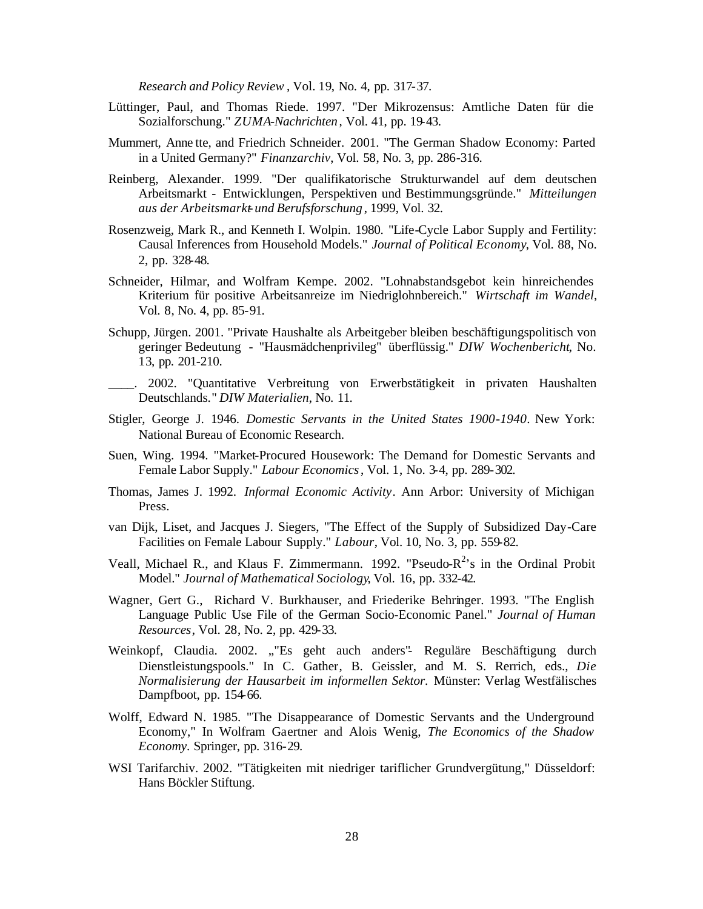*Research and Policy Review* , Vol. 19, No. 4, pp. 317-37.

- Lüttinger, Paul, and Thomas Riede. 1997. "Der Mikrozensus: Amtliche Daten für die Sozialforschung." *ZUMA-Nachrichten* , Vol. 41, pp. 19-43.
- Mummert, Anne tte, and Friedrich Schneider. 2001. "The German Shadow Economy: Parted in a United Germany?" *Finanzarchiv*, Vol. 58, No. 3, pp. 286-316.
- Reinberg, Alexander. 1999. "Der qualifikatorische Strukturwandel auf dem deutschen Arbeitsmarkt - Entwicklungen, Perspektiven und Bestimmungsgründe." *Mitteilungen aus der Arbeitsmarkt- und Berufsforschung* , 1999, Vol. 32.
- Rosenzweig, Mark R., and Kenneth I. Wolpin. 1980. "Life-Cycle Labor Supply and Fertility: Causal Inferences from Household Models." *Journal of Political Economy*, Vol. 88, No. 2, pp. 328-48.
- Schneider, Hilmar, and Wolfram Kempe. 2002. "Lohnabstandsgebot kein hinreichendes Kriterium für positive Arbeitsanreize im Niedriglohnbereich." *Wirtschaft im Wandel*, Vol. 8, No. 4, pp. 85-91.
- Schupp, Jürgen. 2001. "Private Haushalte als Arbeitgeber bleiben beschäftigungspolitisch von geringer Bedeutung - "Hausmädchenprivileg" überflüssig." *DIW Wochenbericht*, No. 13, pp. 201-210.
- \_\_\_\_. 2002. "Quantitative Verbreitung von Erwerbstätigkeit in privaten Haushalten Deutschlands." *DIW Materialien*, No. 11.
- Stigler, George J. 1946. *Domestic Servants in the United States 1900-1940*. New York: National Bureau of Economic Research.
- Suen, Wing. 1994. "Market-Procured Housework: The Demand for Domestic Servants and Female Labor Supply." *Labour Economics*, Vol. 1, No. 3-4, pp. 289-302.
- Thomas, James J. 1992. *Informal Economic Activity*. Ann Arbor: University of Michigan Press.
- van Dijk, Liset, and Jacques J. Siegers, "The Effect of the Supply of Subsidized Day-Care Facilities on Female Labour Supply." *Labour*, Vol. 10, No. 3, pp. 559-82.
- Veall, Michael R., and Klaus F. Zimmermann. 1992. "Pseudo- $R^2$ 's in the Ordinal Probit Model." *Journal of Mathematical Sociology*, Vol. 16, pp. 332-42.
- Wagner, Gert G., Richard V. Burkhauser, and Friederike Behringer. 1993. "The English Language Public Use File of the German Socio-Economic Panel." *Journal of Human Resources*, Vol. 28, No. 2, pp. 429-33.
- Weinkopf, Claudia. 2002. ""Es geht auch anders"- Reguläre Beschäftigung durch Dienstleistungspools." In C. Gather, B. Geissler, and M. S. Rerrich, eds., *Die Normalisierung der Hausarbeit im informellen Sektor.* Münster: Verlag Westfälisches Dampfboot, pp. 154-66.
- Wolff, Edward N. 1985. "The Disappearance of Domestic Servants and the Underground Economy," In Wolfram Gaertner and Alois Wenig, *The Economics of the Shadow Economy.* Springer, pp. 316-29.
- WSI Tarifarchiv. 2002. "Tätigkeiten mit niedriger tariflicher Grundvergütung," Düsseldorf: Hans Böckler Stiftung.